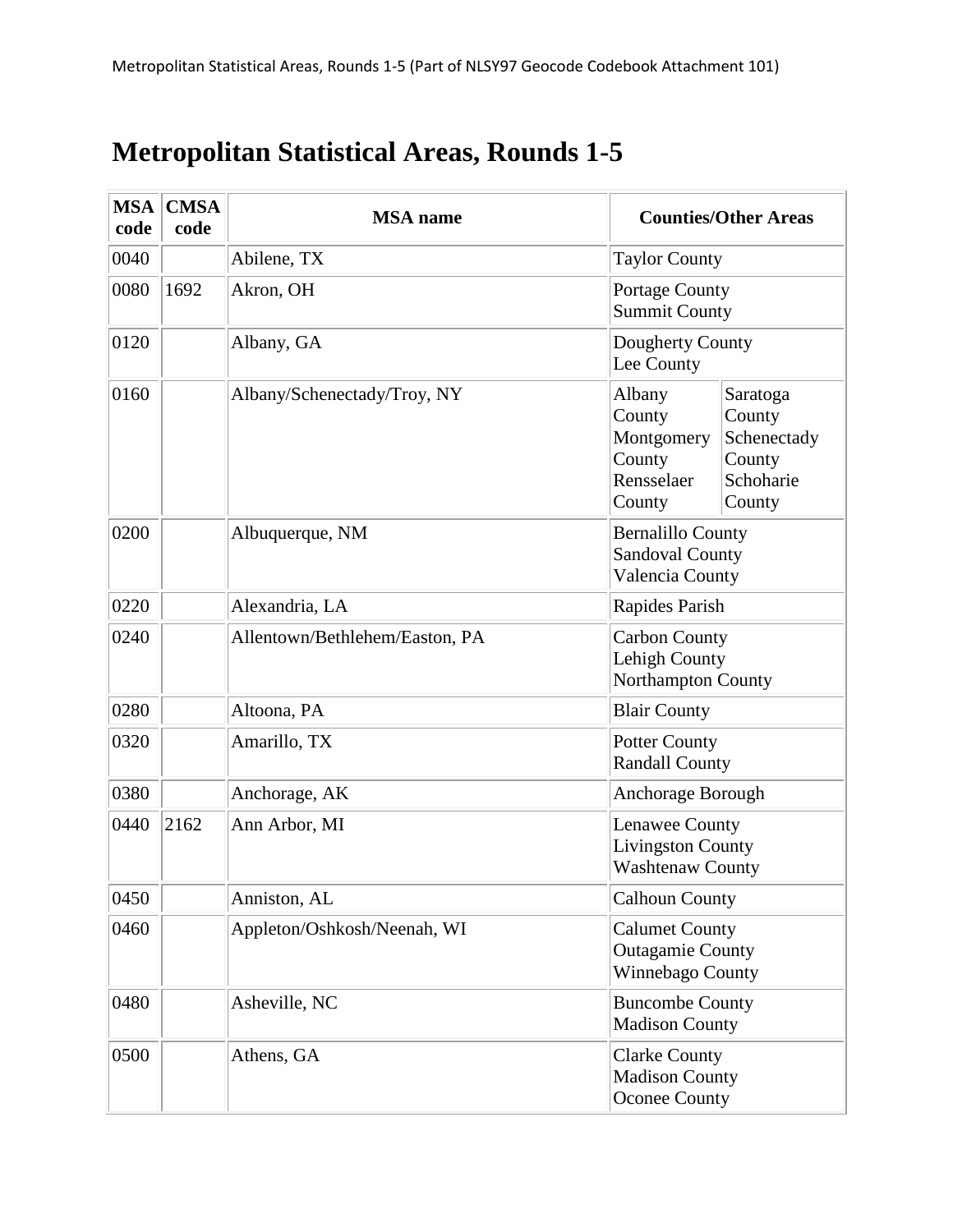## **Metropolitan Statistical Areas, Rounds 1-5**

| <b>MSA</b><br>code | <b>CMSA</b><br>code | <b>MSA</b> name                | <b>Counties/Other Areas</b>                                           |                                                                    |
|--------------------|---------------------|--------------------------------|-----------------------------------------------------------------------|--------------------------------------------------------------------|
| 0040               |                     | Abilene, TX                    | <b>Taylor County</b>                                                  |                                                                    |
| 0080               | 1692                | Akron, OH                      | Portage County<br><b>Summit County</b>                                |                                                                    |
| 0120               |                     | Albany, GA                     | Dougherty County<br>Lee County                                        |                                                                    |
| 0160               |                     | Albany/Schenectady/Troy, NY    | Albany<br>County<br>Montgomery<br>County<br>Rensselaer<br>County      | Saratoga<br>County<br>Schenectady<br>County<br>Schoharie<br>County |
| 0200               |                     | Albuquerque, NM                | <b>Bernalillo County</b><br><b>Sandoval County</b><br>Valencia County |                                                                    |
| 0220               |                     | Alexandria, LA                 | Rapides Parish                                                        |                                                                    |
| 0240               |                     | Allentown/Bethlehem/Easton, PA | <b>Carbon County</b><br>Lehigh County<br>Northampton County           |                                                                    |
| 0280               |                     | Altoona, PA                    | <b>Blair County</b>                                                   |                                                                    |
| 0320               |                     | Amarillo, TX                   | <b>Potter County</b><br><b>Randall County</b>                         |                                                                    |
| 0380               |                     | Anchorage, AK                  | Anchorage Borough                                                     |                                                                    |
| 0440               | 2162                | Ann Arbor, MI                  | Lenawee County<br><b>Livingston County</b><br><b>Washtenaw County</b> |                                                                    |
| 0450               |                     | Anniston, AL                   | <b>Calhoun County</b>                                                 |                                                                    |
| 0460               |                     | Appleton/Oshkosh/Neenah, WI    | <b>Calumet County</b><br><b>Outagamie County</b><br>Winnebago County  |                                                                    |
| 0480               |                     | Asheville, NC                  | <b>Buncombe County</b><br><b>Madison County</b>                       |                                                                    |
| 0500               |                     | Athens, GA                     | <b>Clarke County</b><br><b>Madison County</b><br><b>Oconee County</b> |                                                                    |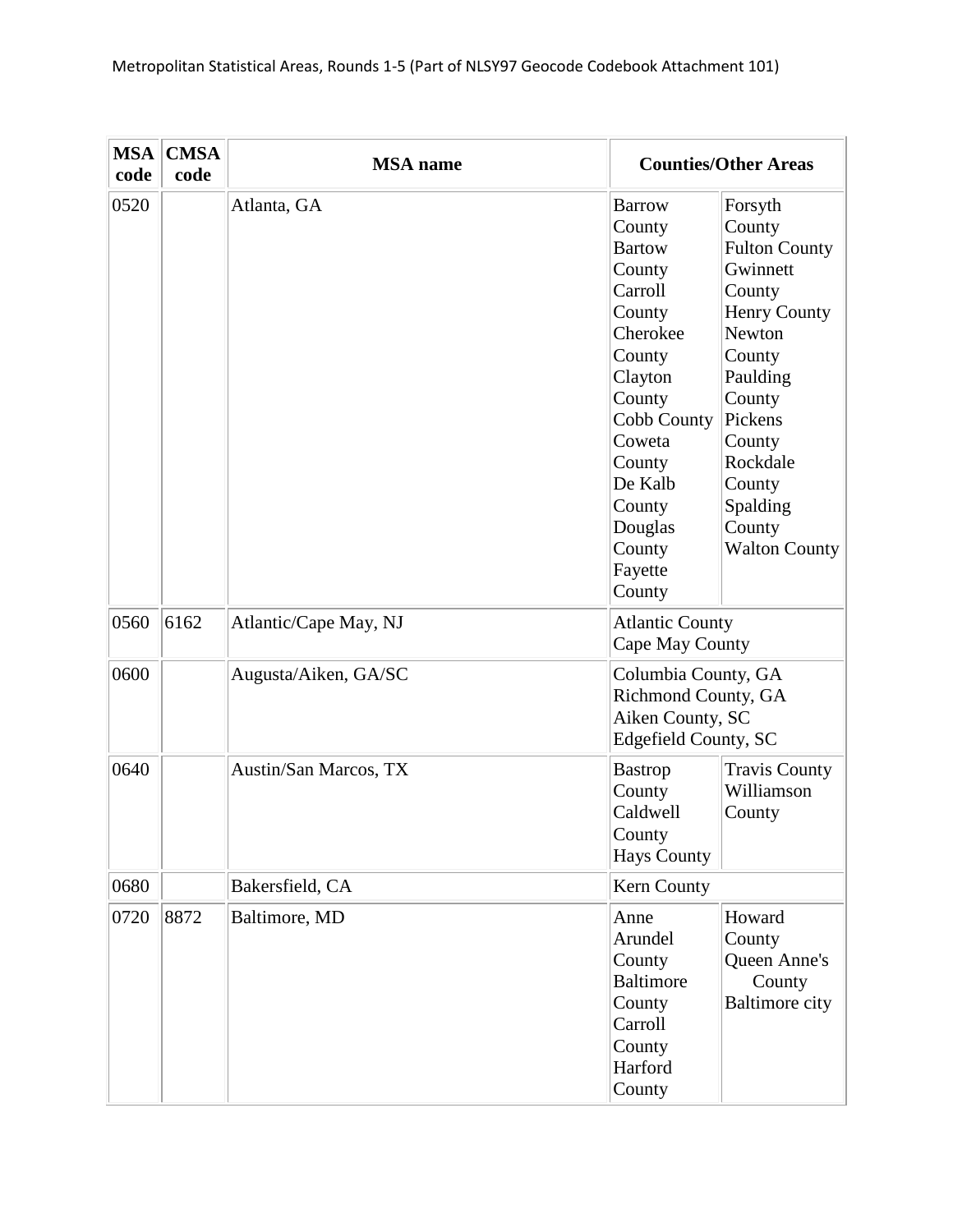| <b>MSA</b><br>code | <b>CMSA</b><br>code | <b>MSA</b> name       |                                                                                                                                                                                                                      | <b>Counties/Other Areas</b>                                                                                                                                                                                               |
|--------------------|---------------------|-----------------------|----------------------------------------------------------------------------------------------------------------------------------------------------------------------------------------------------------------------|---------------------------------------------------------------------------------------------------------------------------------------------------------------------------------------------------------------------------|
| 0520               |                     | Atlanta, GA           | <b>Barrow</b><br>County<br><b>Bartow</b><br>County<br>Carroll<br>County<br>Cherokee<br>County<br>Clayton<br>County<br>Cobb County<br>Coweta<br>County<br>De Kalb<br>County<br>Douglas<br>County<br>Fayette<br>County | Forsyth<br>County<br><b>Fulton County</b><br>Gwinnett<br>County<br><b>Henry County</b><br>Newton<br>County<br>Paulding<br>County<br>Pickens<br>County<br>Rockdale<br>County<br>Spalding<br>County<br><b>Walton County</b> |
| 0560               | 6162                | Atlantic/Cape May, NJ | <b>Atlantic County</b><br>Cape May County                                                                                                                                                                            |                                                                                                                                                                                                                           |
| 0600               |                     | Augusta/Aiken, GA/SC  | Columbia County, GA<br>Richmond County, GA<br>Aiken County, SC<br>Edgefield County, SC                                                                                                                               |                                                                                                                                                                                                                           |
| 0640               |                     | Austin/San Marcos, TX | <b>Bastrop</b><br>County<br>Caldwell<br>County<br><b>Hays County</b>                                                                                                                                                 | <b>Travis County</b><br>Williamson<br>County                                                                                                                                                                              |
| 0680               |                     | Bakersfield, CA       | Kern County                                                                                                                                                                                                          |                                                                                                                                                                                                                           |
| 0720               | 8872                | Baltimore, MD         | Anne<br>Arundel<br>County<br><b>Baltimore</b><br>County<br>Carroll<br>County<br>Harford<br>County                                                                                                                    | Howard<br>County<br>Queen Anne's<br>County<br><b>Baltimore city</b>                                                                                                                                                       |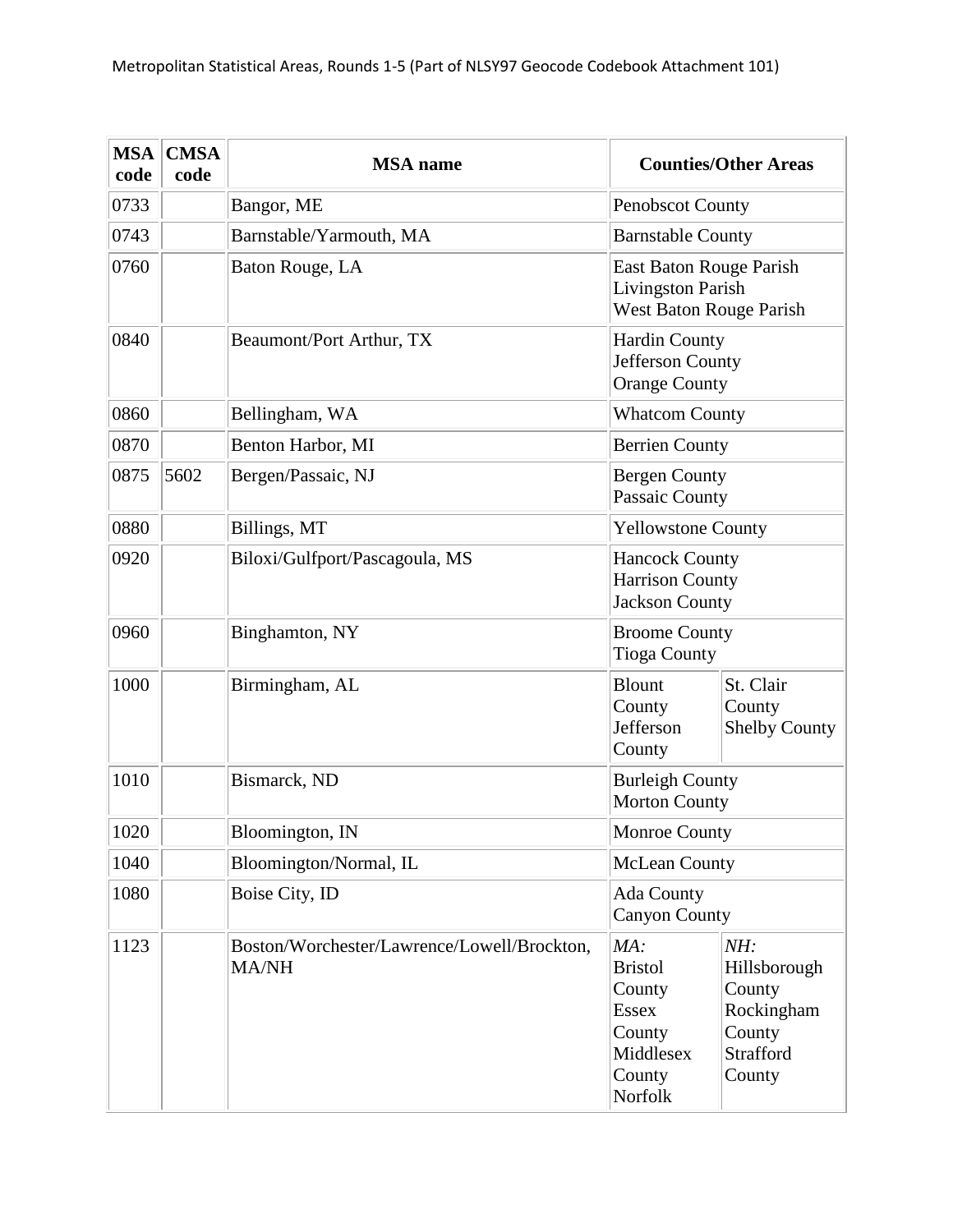| <b>MSA</b><br>code | <b>CMSA</b><br>code | <b>MSA</b> name                                             |                                                                                             | <b>Counties/Other Areas</b>                                                  |
|--------------------|---------------------|-------------------------------------------------------------|---------------------------------------------------------------------------------------------|------------------------------------------------------------------------------|
| 0733               |                     | Bangor, ME                                                  | <b>Penobscot County</b>                                                                     |                                                                              |
| 0743               |                     | Barnstable/Yarmouth, MA                                     | <b>Barnstable County</b>                                                                    |                                                                              |
| 0760               |                     | Baton Rouge, LA                                             | East Baton Rouge Parish<br><b>Livingston Parish</b><br>West Baton Rouge Parish              |                                                                              |
| 0840               |                     | Beaumont/Port Arthur, TX                                    | <b>Hardin County</b><br>Jefferson County<br><b>Orange County</b>                            |                                                                              |
| 0860               |                     | Bellingham, WA                                              | <b>Whatcom County</b>                                                                       |                                                                              |
| 0870               |                     | Benton Harbor, MI                                           | <b>Berrien County</b>                                                                       |                                                                              |
| 0875               | 5602                | Bergen/Passaic, NJ                                          | <b>Bergen County</b><br>Passaic County                                                      |                                                                              |
| 0880               |                     | Billings, MT                                                | <b>Yellowstone County</b>                                                                   |                                                                              |
| 0920               |                     | Biloxi/Gulfport/Pascagoula, MS                              | <b>Hancock County</b><br><b>Harrison County</b><br><b>Jackson County</b>                    |                                                                              |
| 0960               |                     | Binghamton, NY                                              | <b>Broome County</b><br><b>Tioga County</b>                                                 |                                                                              |
| 1000               |                     | Birmingham, AL                                              | <b>Blount</b><br>County<br>Jefferson<br>County                                              | St. Clair<br>County<br><b>Shelby County</b>                                  |
| 1010               |                     | Bismarck, ND                                                | <b>Burleigh County</b><br><b>Morton County</b>                                              |                                                                              |
| 1020               |                     | Bloomington, IN                                             | Monroe County                                                                               |                                                                              |
| 1040               |                     | Bloomington/Normal, IL                                      | <b>McLean County</b>                                                                        |                                                                              |
| 1080               |                     | Boise City, ID                                              | Ada County<br><b>Canyon County</b>                                                          |                                                                              |
| 1123               |                     | Boston/Worchester/Lawrence/Lowell/Brockton,<br><b>MA/NH</b> | MA:<br><b>Bristol</b><br>County<br><b>Essex</b><br>County<br>Middlesex<br>County<br>Norfolk | NH:<br>Hillsborough<br>County<br>Rockingham<br>County<br>Strafford<br>County |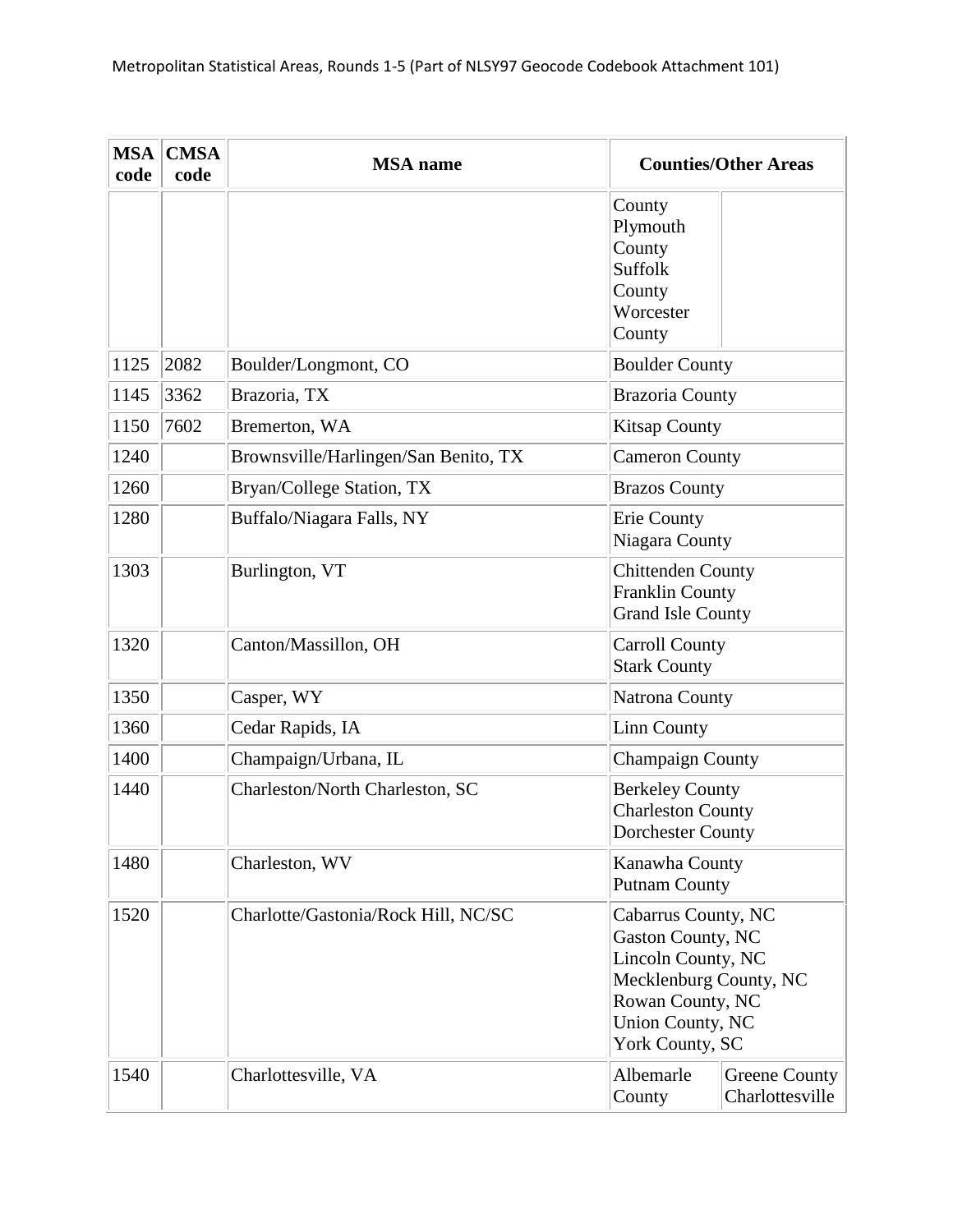| <b>MSA</b><br>code | <b>CMSA</b><br>code | <b>MSA</b> name                      |                                                                                                                                                                   | <b>Counties/Other Areas</b>      |
|--------------------|---------------------|--------------------------------------|-------------------------------------------------------------------------------------------------------------------------------------------------------------------|----------------------------------|
|                    |                     |                                      | County<br>Plymouth<br>County<br><b>Suffolk</b><br>County<br>Worcester<br>County                                                                                   |                                  |
| 1125               | 2082                | Boulder/Longmont, CO                 | <b>Boulder County</b>                                                                                                                                             |                                  |
| 1145               | 3362                | Brazoria, TX                         | <b>Brazoria County</b>                                                                                                                                            |                                  |
| 1150               | 7602                | Bremerton, WA                        | <b>Kitsap County</b>                                                                                                                                              |                                  |
| 1240               |                     | Brownsville/Harlingen/San Benito, TX | <b>Cameron County</b>                                                                                                                                             |                                  |
| 1260               |                     | Bryan/College Station, TX            | <b>Brazos County</b>                                                                                                                                              |                                  |
| 1280               |                     | Buffalo/Niagara Falls, NY            | <b>Erie County</b><br>Niagara County                                                                                                                              |                                  |
| 1303               |                     | Burlington, VT                       | <b>Chittenden County</b><br><b>Franklin County</b><br><b>Grand Isle County</b>                                                                                    |                                  |
| 1320               |                     | Canton/Massillon, OH                 | <b>Carroll County</b><br><b>Stark County</b>                                                                                                                      |                                  |
| 1350               |                     | Casper, WY                           | Natrona County                                                                                                                                                    |                                  |
| 1360               |                     | Cedar Rapids, IA                     | Linn County                                                                                                                                                       |                                  |
| 1400               |                     | Champaign/Urbana, IL                 | <b>Champaign County</b>                                                                                                                                           |                                  |
| 1440               |                     | Charleston/North Charleston, SC      | <b>Berkeley County</b><br><b>Charleston County</b><br><b>Dorchester County</b>                                                                                    |                                  |
| 1480               |                     | Charleston, WV                       | Kanawha County<br><b>Putnam County</b>                                                                                                                            |                                  |
| 1520               |                     | Charlotte/Gastonia/Rock Hill, NC/SC  | Cabarrus County, NC<br><b>Gaston County, NC</b><br>Lincoln County, NC<br>Mecklenburg County, NC<br>Rowan County, NC<br><b>Union County, NC</b><br>York County, SC |                                  |
| 1540               |                     | Charlottesville, VA                  | Albemarle<br>County                                                                                                                                               | Greene County<br>Charlottesville |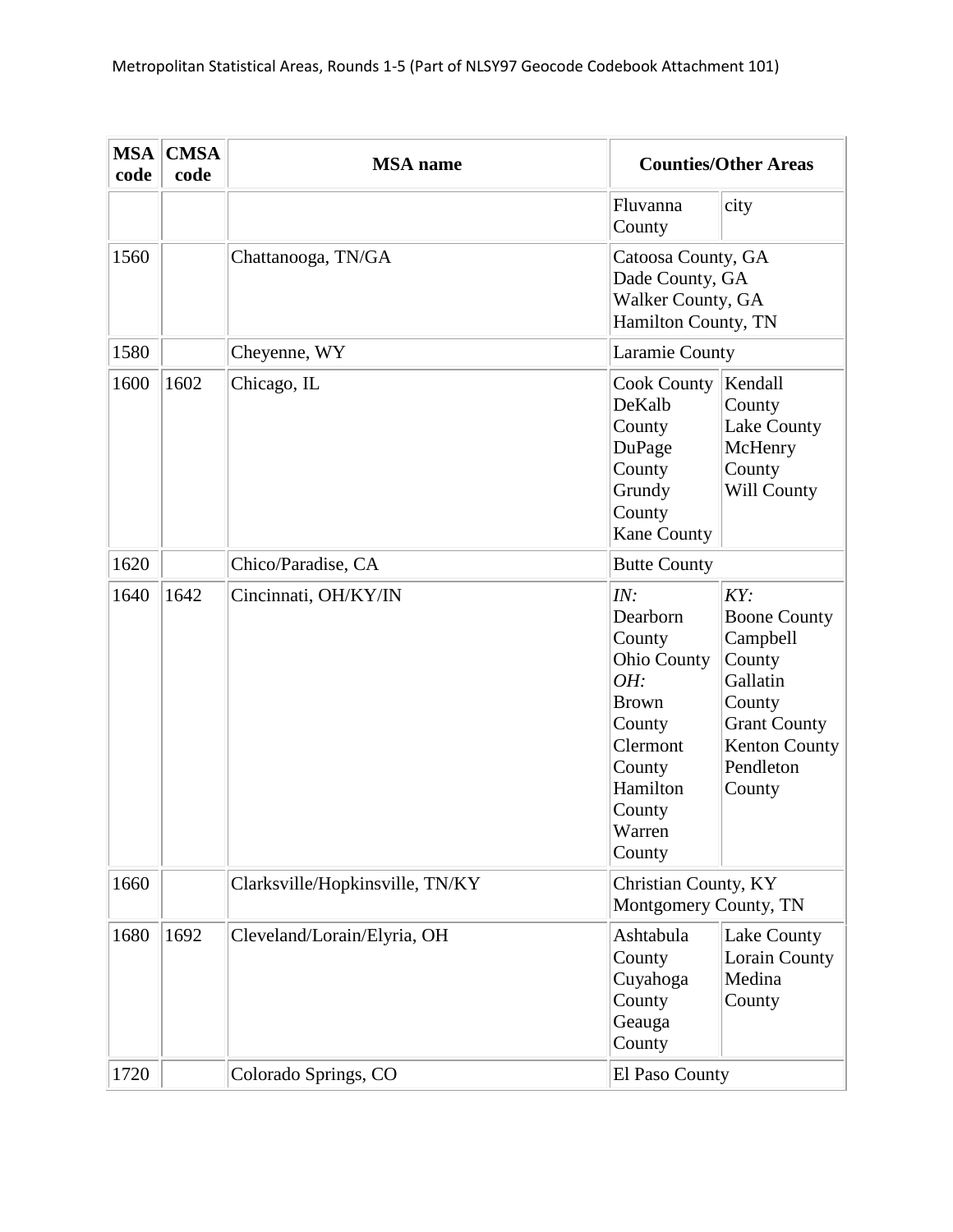| <b>MSA</b><br>code | <b>CMSA</b><br>code | <b>MSA</b> name                 |                                                                                                                                                  | <b>Counties/Other Areas</b>                                                                                                           |
|--------------------|---------------------|---------------------------------|--------------------------------------------------------------------------------------------------------------------------------------------------|---------------------------------------------------------------------------------------------------------------------------------------|
|                    |                     |                                 | Fluvanna<br>County                                                                                                                               | city                                                                                                                                  |
| 1560               |                     | Chattanooga, TN/GA              | Catoosa County, GA<br>Dade County, GA<br>Walker County, GA<br>Hamilton County, TN                                                                |                                                                                                                                       |
| 1580               |                     | Cheyenne, WY                    | Laramie County                                                                                                                                   |                                                                                                                                       |
| 1600               | 1602                | Chicago, IL                     | <b>Cook County</b><br>DeKalb<br>County<br>DuPage<br>County<br>Grundy<br>County<br><b>Kane County</b>                                             | Kendall<br>County<br>Lake County<br>McHenry<br>County<br>Will County                                                                  |
| 1620               |                     | Chico/Paradise, CA              | <b>Butte County</b>                                                                                                                              |                                                                                                                                       |
| 1640               | 1642                | Cincinnati, OH/KY/IN            | IN:<br>Dearborn<br>County<br><b>Ohio County</b><br>OH:<br><b>Brown</b><br>County<br>Clermont<br>County<br>Hamilton<br>County<br>Warren<br>County | KY:<br><b>Boone County</b><br>Campbell<br>County<br>Gallatin<br>County<br><b>Grant County</b><br>Kenton County<br>Pendleton<br>County |
| 1660               |                     | Clarksville/Hopkinsville, TN/KY | Christian County, KY<br>Montgomery County, TN                                                                                                    |                                                                                                                                       |
| 1680               | 1692                | Cleveland/Lorain/Elyria, OH     | Ashtabula<br>County<br>Cuyahoga<br>County<br>Geauga<br>County                                                                                    | Lake County<br>Lorain County<br>Medina<br>County                                                                                      |
| 1720               |                     | Colorado Springs, CO            | El Paso County                                                                                                                                   |                                                                                                                                       |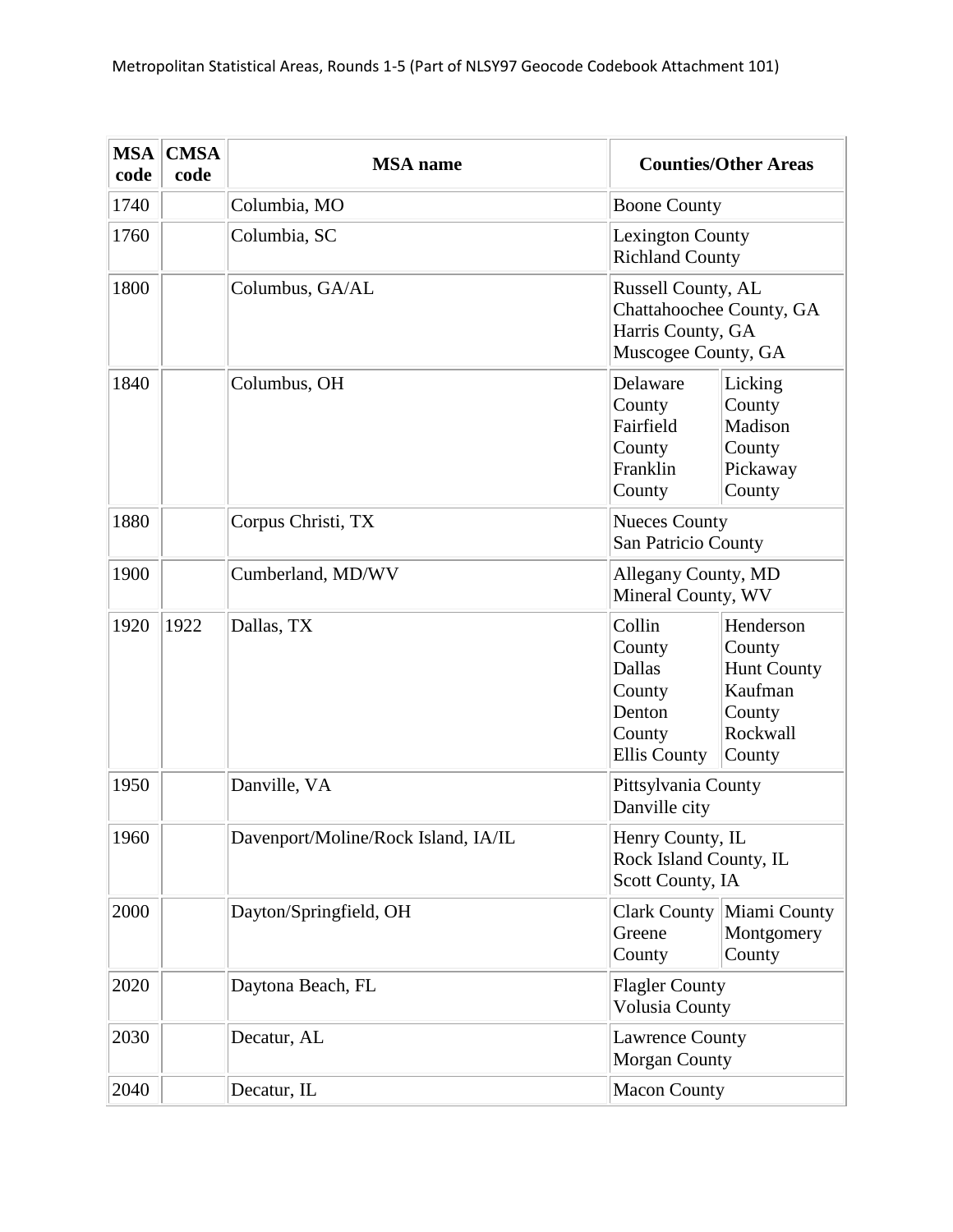| <b>MSA</b><br>code | <b>CMSA</b><br>code | <b>MSA</b> name                     | <b>Counties/Other Areas</b>                                                                                                                                                    |  |
|--------------------|---------------------|-------------------------------------|--------------------------------------------------------------------------------------------------------------------------------------------------------------------------------|--|
| 1740               |                     | Columbia, MO                        | <b>Boone County</b>                                                                                                                                                            |  |
| 1760               |                     | Columbia, SC                        | <b>Lexington County</b><br><b>Richland County</b>                                                                                                                              |  |
| 1800               |                     | Columbus, GA/AL                     | Russell County, AL<br>Chattahoochee County, GA<br>Harris County, GA<br>Muscogee County, GA                                                                                     |  |
| 1840               |                     | Columbus, OH                        | Delaware<br>Licking<br>County<br>County<br>Fairfield<br>Madison<br>County<br>County<br>Franklin<br>Pickaway<br>County<br>County                                                |  |
| 1880               |                     | Corpus Christi, TX                  | <b>Nueces County</b><br>San Patricio County                                                                                                                                    |  |
| 1900               |                     | Cumberland, MD/WV                   | <b>Allegany County, MD</b><br>Mineral County, WV                                                                                                                               |  |
| 1920               | 1922                | Dallas, TX                          | Henderson<br>Collin<br>County<br>County<br><b>Dallas</b><br><b>Hunt County</b><br>Kaufman<br>County<br>Denton<br>County<br>Rockwall<br>County<br><b>Ellis County</b><br>County |  |
| 1950               |                     | Danville, VA                        | Pittsylvania County<br>Danville city                                                                                                                                           |  |
| 1960               |                     | Davenport/Moline/Rock Island, IA/IL | Henry County, IL<br>Rock Island County, IL<br>Scott County, IA                                                                                                                 |  |
| 2000               |                     | Dayton/Springfield, OH              | Clark County Miami County<br>Greene<br>Montgomery<br>County<br>County                                                                                                          |  |
| 2020               |                     | Daytona Beach, FL                   | <b>Flagler County</b><br><b>Volusia County</b>                                                                                                                                 |  |
| 2030               |                     | Decatur, AL                         | <b>Lawrence County</b><br><b>Morgan County</b>                                                                                                                                 |  |
| 2040               |                     | Decatur, IL                         | <b>Macon County</b>                                                                                                                                                            |  |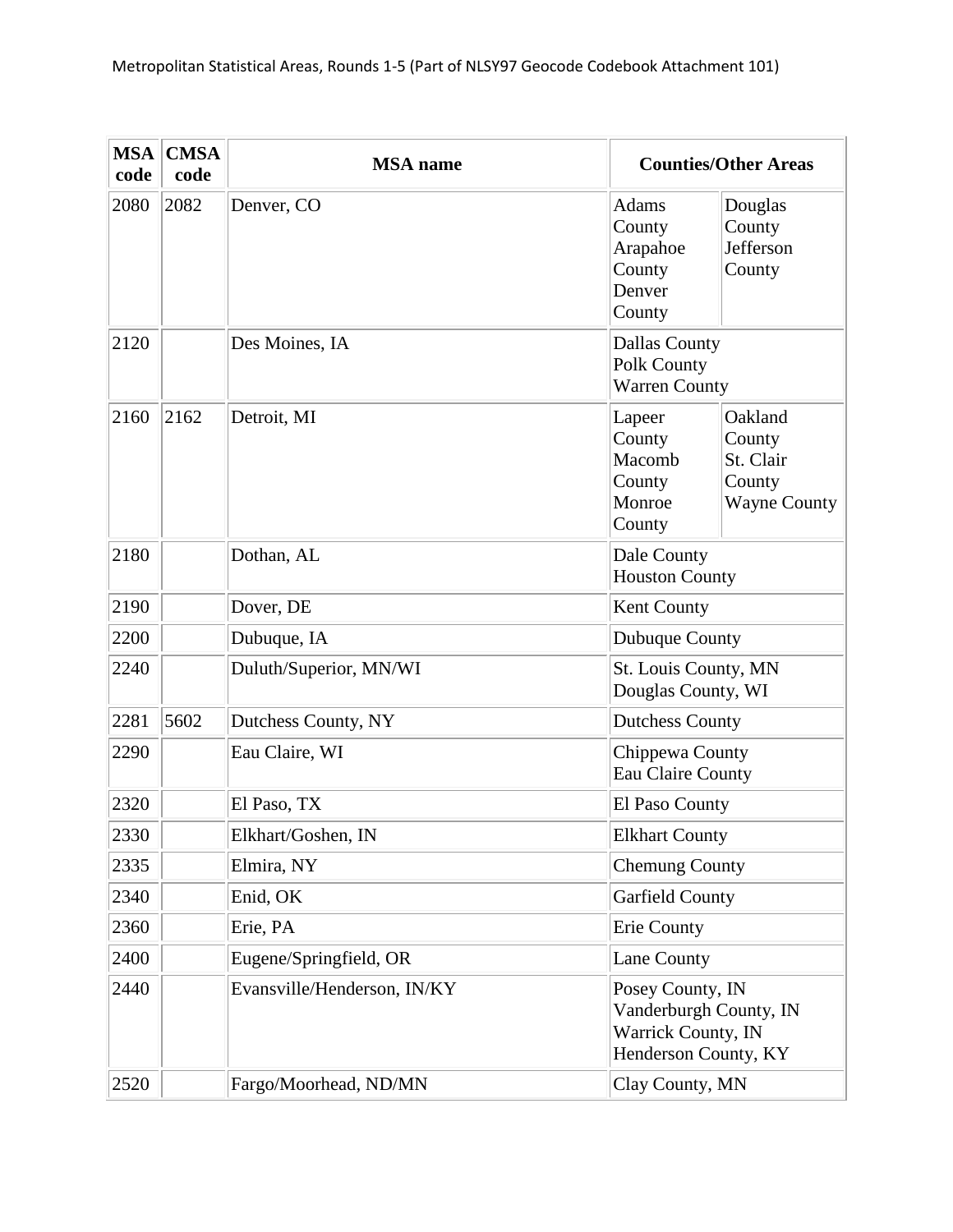| <b>MSA</b><br>code | <b>CMSA</b><br>code | <b>MSA</b> name             |                                                                                          | <b>Counties/Other Areas</b>                                     |
|--------------------|---------------------|-----------------------------|------------------------------------------------------------------------------------------|-----------------------------------------------------------------|
| 2080               | 2082                | Denver, CO                  | <b>Adams</b><br>County<br>Arapahoe<br>County<br>Denver<br>County                         | Douglas<br>County<br>Jefferson<br>County                        |
| 2120               |                     | Des Moines, IA              | <b>Dallas County</b><br>Polk County<br><b>Warren County</b>                              |                                                                 |
| 2160               | 2162                | Detroit, MI                 | Lapeer<br>County<br>Macomb<br>County<br>Monroe<br>County                                 | Oakland<br>County<br>St. Clair<br>County<br><b>Wayne County</b> |
| 2180               |                     | Dothan, AL                  | Dale County<br><b>Houston County</b>                                                     |                                                                 |
| 2190               |                     | Dover, DE                   | Kent County                                                                              |                                                                 |
| 2200               |                     | Dubuque, IA                 | Dubuque County                                                                           |                                                                 |
| 2240               |                     | Duluth/Superior, MN/WI      | St. Louis County, MN<br>Douglas County, WI                                               |                                                                 |
| 2281               | 5602                | Dutchess County, NY         | <b>Dutchess County</b>                                                                   |                                                                 |
| 2290               |                     | Eau Claire, WI              | Chippewa County<br>Eau Claire County                                                     |                                                                 |
| 2320               |                     | El Paso, TX                 | El Paso County                                                                           |                                                                 |
| 2330               |                     | Elkhart/Goshen, IN          | <b>Elkhart County</b>                                                                    |                                                                 |
| 2335               |                     | Elmira, NY                  | <b>Chemung County</b>                                                                    |                                                                 |
| 2340               |                     | Enid, OK                    | <b>Garfield County</b>                                                                   |                                                                 |
| 2360               |                     | Erie, PA                    | Erie County                                                                              |                                                                 |
| 2400               |                     | Eugene/Springfield, OR      | Lane County                                                                              |                                                                 |
| 2440               |                     | Evansville/Henderson, IN/KY | Posey County, IN<br>Vanderburgh County, IN<br>Warrick County, IN<br>Henderson County, KY |                                                                 |
| 2520               |                     | Fargo/Moorhead, ND/MN       | Clay County, MN                                                                          |                                                                 |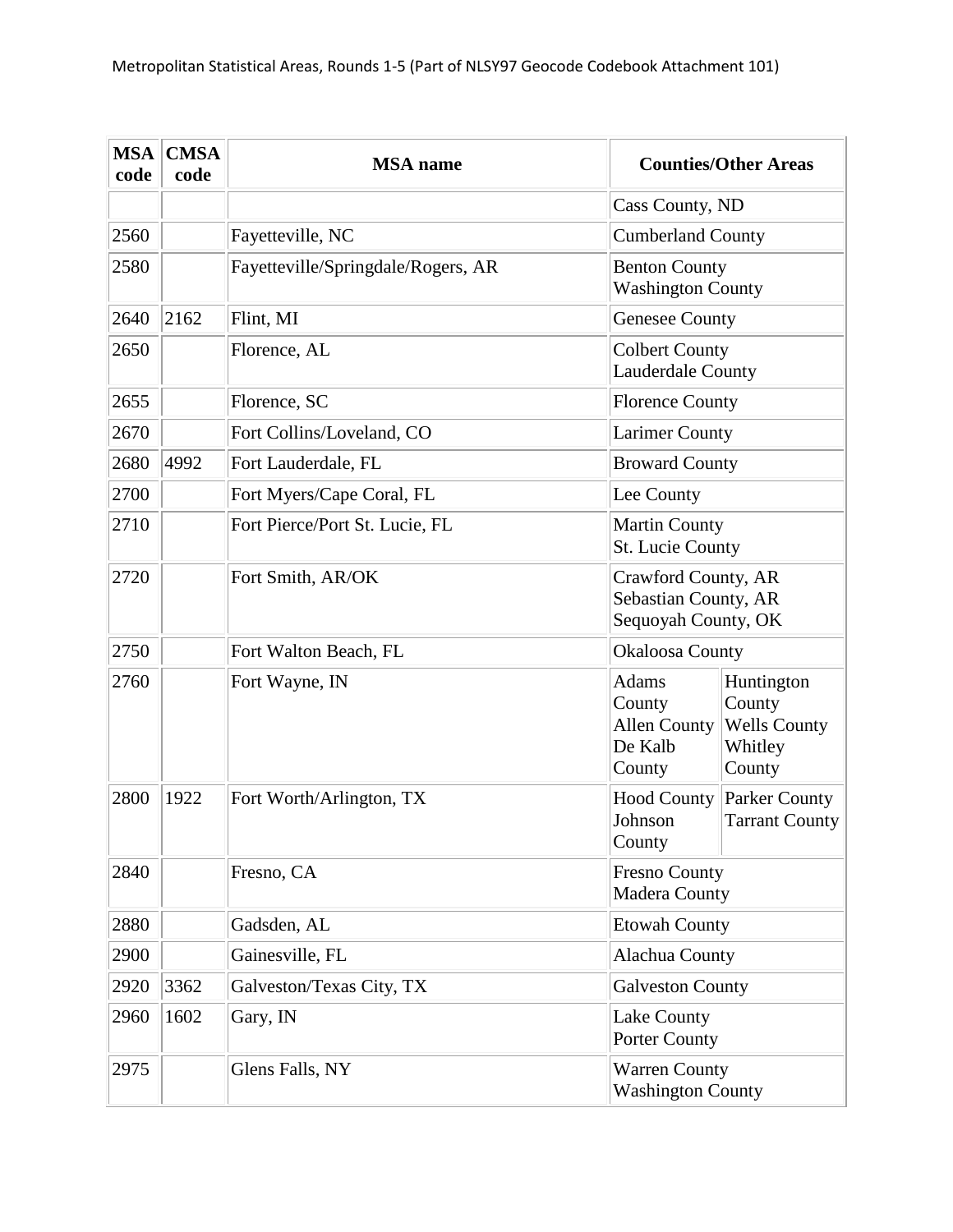| <b>MSA</b><br>code | <b>CMSA</b><br>code | <b>MSA</b> name                    |                                                                    | <b>Counties/Other Areas</b>                                      |
|--------------------|---------------------|------------------------------------|--------------------------------------------------------------------|------------------------------------------------------------------|
|                    |                     |                                    | Cass County, ND                                                    |                                                                  |
| 2560               |                     | Fayetteville, NC                   | <b>Cumberland County</b>                                           |                                                                  |
| 2580               |                     | Fayetteville/Springdale/Rogers, AR | <b>Benton County</b><br><b>Washington County</b>                   |                                                                  |
| 2640               | 2162                | Flint, MI                          | <b>Genesee County</b>                                              |                                                                  |
| 2650               |                     | Florence, AL                       | <b>Colbert County</b><br>Lauderdale County                         |                                                                  |
| 2655               |                     | Florence, SC                       | <b>Florence County</b>                                             |                                                                  |
| 2670               |                     | Fort Collins/Loveland, CO          | <b>Larimer County</b>                                              |                                                                  |
| 2680               | 4992                | Fort Lauderdale, FL                | <b>Broward County</b>                                              |                                                                  |
| 2700               |                     | Fort Myers/Cape Coral, FL          | Lee County                                                         |                                                                  |
| 2710               |                     | Fort Pierce/Port St. Lucie, FL     | <b>Martin County</b><br>St. Lucie County                           |                                                                  |
| 2720               |                     | Fort Smith, AR/OK                  | Crawford County, AR<br>Sebastian County, AR<br>Sequoyah County, OK |                                                                  |
| 2750               |                     | Fort Walton Beach, FL              | <b>Okaloosa County</b>                                             |                                                                  |
| 2760               |                     | Fort Wayne, IN                     | Adams<br>County<br><b>Allen County</b><br>De Kalb<br>County        | Huntington<br>County<br><b>Wells County</b><br>Whitley<br>County |
| 2800               | 1922                | Fort Worth/Arlington, TX           | <b>Hood County</b><br>Johnson<br>County                            | Parker County<br><b>Tarrant County</b>                           |
| 2840               |                     | Fresno, CA                         | <b>Fresno County</b><br>Madera County                              |                                                                  |
| 2880               |                     | Gadsden, AL                        | <b>Etowah County</b>                                               |                                                                  |
| 2900               |                     | Gainesville, FL                    | Alachua County                                                     |                                                                  |
| 2920               | 3362                | Galveston/Texas City, TX           | <b>Galveston County</b>                                            |                                                                  |
| 2960               | 1602                | Gary, IN                           | Lake County<br>Porter County                                       |                                                                  |
| 2975               |                     | Glens Falls, NY                    | <b>Warren County</b><br><b>Washington County</b>                   |                                                                  |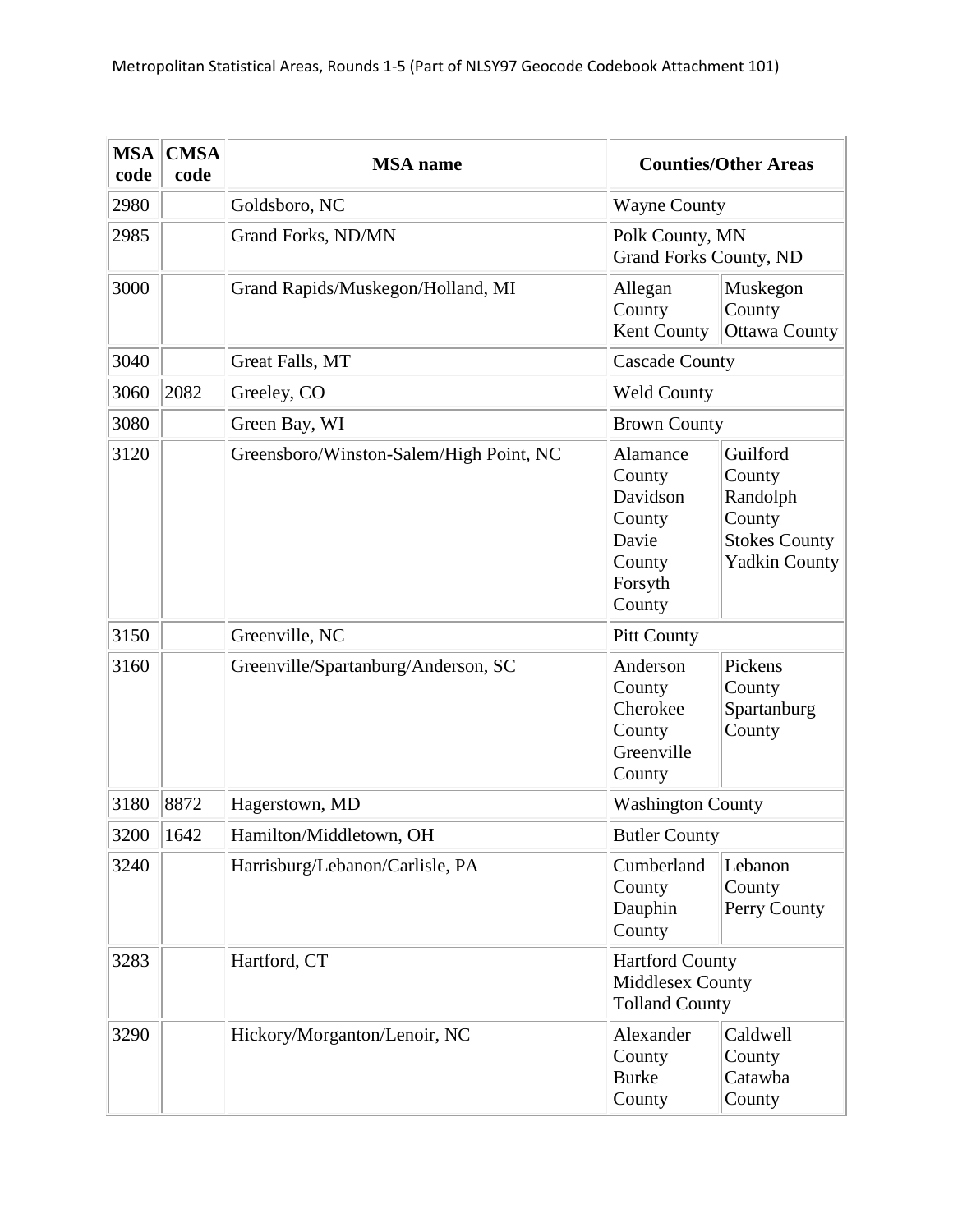| <b>MSA</b><br>code | <b>CMSA</b><br>code | <b>MSA</b> name                         |                                                                                  | <b>Counties/Other Areas</b>                                                              |
|--------------------|---------------------|-----------------------------------------|----------------------------------------------------------------------------------|------------------------------------------------------------------------------------------|
| 2980               |                     | Goldsboro, NC                           | <b>Wayne County</b>                                                              |                                                                                          |
| 2985               |                     | Grand Forks, ND/MN                      | Polk County, MN<br><b>Grand Forks County, ND</b>                                 |                                                                                          |
| 3000               |                     | Grand Rapids/Muskegon/Holland, MI       | Allegan<br>County<br>Kent County                                                 | Muskegon<br>County<br><b>Ottawa County</b>                                               |
| 3040               |                     | Great Falls, MT                         | <b>Cascade County</b>                                                            |                                                                                          |
| 3060               | 2082                | Greeley, CO                             | <b>Weld County</b>                                                               |                                                                                          |
| 3080               |                     | Green Bay, WI                           | <b>Brown County</b>                                                              |                                                                                          |
| 3120               |                     | Greensboro/Winston-Salem/High Point, NC | Alamance<br>County<br>Davidson<br>County<br>Davie<br>County<br>Forsyth<br>County | Guilford<br>County<br>Randolph<br>County<br><b>Stokes County</b><br><b>Yadkin County</b> |
| 3150               |                     | Greenville, NC                          | <b>Pitt County</b>                                                               |                                                                                          |
| 3160               |                     | Greenville/Spartanburg/Anderson, SC     | Anderson<br>County<br>Cherokee<br>County<br>Greenville<br>County                 | Pickens<br>County<br>Spartanburg<br>County                                               |
| 3180               | 8872                | Hagerstown, MD                          | <b>Washington County</b>                                                         |                                                                                          |
| 3200               | 1642                | Hamilton/Middletown, OH                 | <b>Butler County</b>                                                             |                                                                                          |
| 3240               |                     | Harrisburg/Lebanon/Carlisle, PA         | Cumberland<br>County<br>Dauphin<br>County                                        | Lebanon<br>County<br>Perry County                                                        |
| 3283               |                     | Hartford, CT                            | <b>Hartford County</b><br>Middlesex County<br><b>Tolland County</b>              |                                                                                          |
| 3290               |                     | Hickory/Morganton/Lenoir, NC            | Alexander<br>County<br><b>Burke</b><br>County                                    | Caldwell<br>County<br>Catawba<br>County                                                  |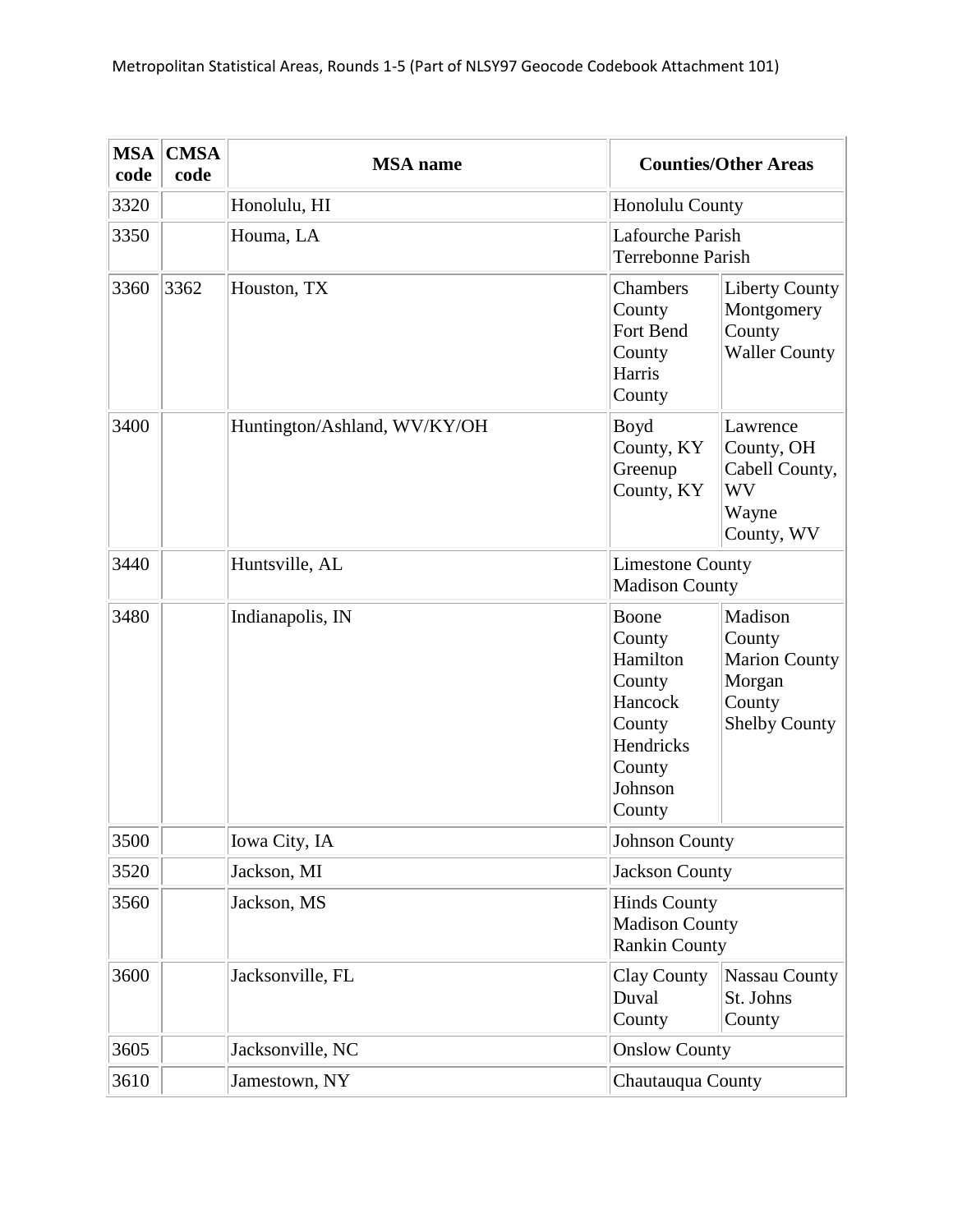| <b>MSA</b><br>code | <b>CMSA</b><br>code | <b>MSA</b> name              | <b>Counties/Other Areas</b>                                                                                                                                                                     |
|--------------------|---------------------|------------------------------|-------------------------------------------------------------------------------------------------------------------------------------------------------------------------------------------------|
| 3320               |                     | Honolulu, HI                 | <b>Honolulu County</b>                                                                                                                                                                          |
| 3350               |                     | Houma, LA                    | Lafourche Parish<br><b>Terrebonne Parish</b>                                                                                                                                                    |
| 3360               | 3362                | Houston, TX                  | Chambers<br><b>Liberty County</b><br>Montgomery<br>County<br>County<br>Fort Bend<br><b>Waller County</b><br>County<br>Harris<br>County                                                          |
| 3400               |                     | Huntington/Ashland, WV/KY/OH | Boyd<br>Lawrence<br>County, KY<br>County, OH<br>Greenup<br>Cabell County,<br>County, KY<br><b>WV</b><br>Wayne<br>County, WV                                                                     |
| 3440               |                     | Huntsville, AL               | <b>Limestone County</b><br><b>Madison County</b>                                                                                                                                                |
| 3480               |                     | Indianapolis, IN             | Madison<br>Boone<br>County<br>County<br>Hamilton<br><b>Marion County</b><br>Morgan<br>County<br>County<br>Hancock<br>County<br><b>Shelby County</b><br>Hendricks<br>County<br>Johnson<br>County |
| 3500               |                     | Iowa City, IA                | <b>Johnson County</b>                                                                                                                                                                           |
| 3520               |                     | Jackson, MI                  | <b>Jackson County</b>                                                                                                                                                                           |
| 3560               |                     | Jackson, MS                  | <b>Hinds County</b><br><b>Madison County</b><br><b>Rankin County</b>                                                                                                                            |
| 3600               |                     | Jacksonville, FL             | Clay County<br><b>Nassau County</b><br>Duval<br>St. Johns<br>County<br>County                                                                                                                   |
| 3605               |                     | Jacksonville, NC             | <b>Onslow County</b>                                                                                                                                                                            |
| 3610               |                     | Jamestown, NY                | Chautauqua County                                                                                                                                                                               |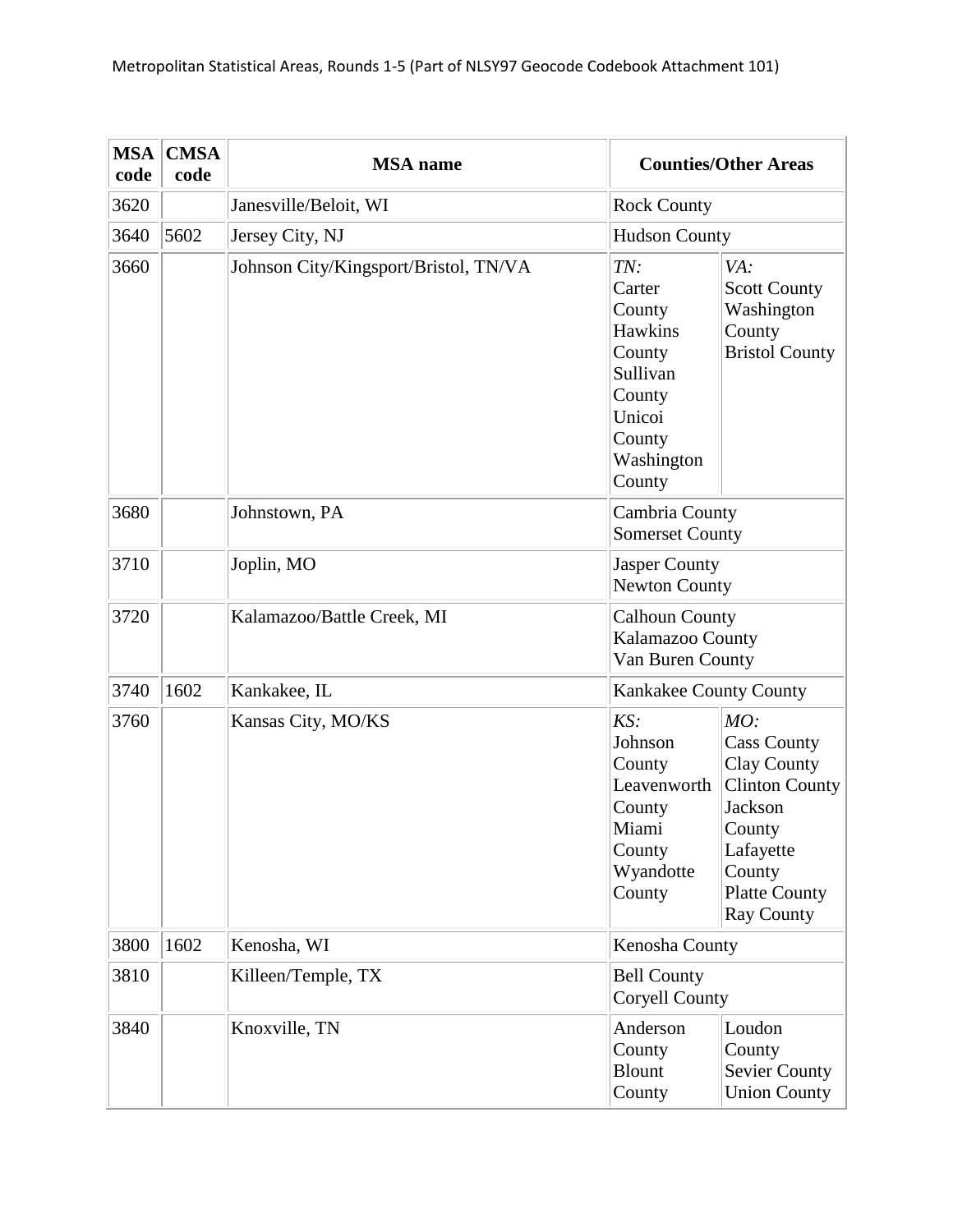| <b>MSA</b><br>code | <b>CMSA</b><br>code | <b>MSA</b> name                       |                                                                                                                | <b>Counties/Other Areas</b>                                                                                                                                              |
|--------------------|---------------------|---------------------------------------|----------------------------------------------------------------------------------------------------------------|--------------------------------------------------------------------------------------------------------------------------------------------------------------------------|
| 3620               |                     | Janesville/Beloit, WI                 | <b>Rock County</b>                                                                                             |                                                                                                                                                                          |
| 3640               | 5602                | Jersey City, NJ                       | <b>Hudson County</b>                                                                                           |                                                                                                                                                                          |
| 3660               |                     | Johnson City/Kingsport/Bristol, TN/VA | TN:<br>Carter<br>County<br>Hawkins<br>County<br>Sullivan<br>County<br>Unicoi<br>County<br>Washington<br>County | VA:<br><b>Scott County</b><br>Washington<br>County<br><b>Bristol County</b>                                                                                              |
| 3680               |                     | Johnstown, PA                         | Cambria County<br><b>Somerset County</b>                                                                       |                                                                                                                                                                          |
| 3710               |                     | Joplin, MO                            | Jasper County<br><b>Newton County</b>                                                                          |                                                                                                                                                                          |
| 3720               |                     | Kalamazoo/Battle Creek, MI            | <b>Calhoun County</b><br>Kalamazoo County<br>Van Buren County                                                  |                                                                                                                                                                          |
| 3740               | 1602                | Kankakee, IL                          | Kankakee County County                                                                                         |                                                                                                                                                                          |
| 3760               |                     | Kansas City, MO/KS                    | KS:<br>Johnson<br>County<br>Leavenworth<br>County<br>Miami<br>County<br>Wyandotte<br>County                    | MO:<br><b>Cass County</b><br><b>Clay County</b><br><b>Clinton County</b><br><b>Jackson</b><br>County<br>Lafayette<br>County<br><b>Platte County</b><br><b>Ray County</b> |
| 3800               | 1602                | Kenosha, WI                           | Kenosha County                                                                                                 |                                                                                                                                                                          |
| 3810               |                     | Killeen/Temple, TX                    | <b>Bell County</b><br><b>Coryell County</b>                                                                    |                                                                                                                                                                          |
| 3840               |                     | Knoxville, TN                         | Anderson<br>County<br><b>Blount</b><br>County                                                                  | Loudon<br>County<br>Sevier County<br><b>Union County</b>                                                                                                                 |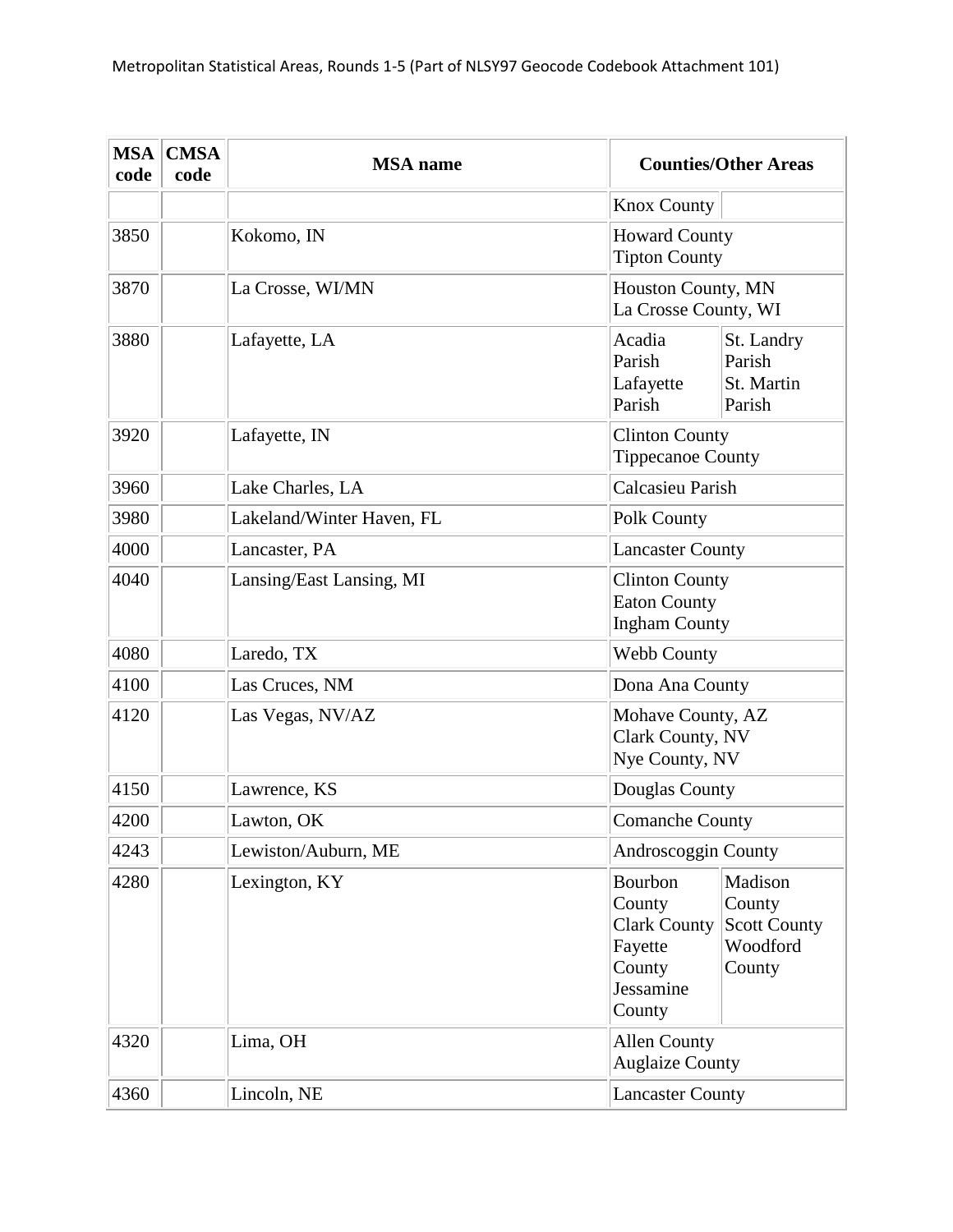| <b>MSA</b><br>code | <b>CMSA</b><br>code | <b>MSA</b> name           |                                                                                         | <b>Counties/Other Areas</b>                                    |  |
|--------------------|---------------------|---------------------------|-----------------------------------------------------------------------------------------|----------------------------------------------------------------|--|
|                    |                     |                           | <b>Knox County</b>                                                                      |                                                                |  |
| 3850               |                     | Kokomo, IN                | <b>Howard County</b><br><b>Tipton County</b>                                            |                                                                |  |
| 3870               |                     | La Crosse, WI/MN          | Houston County, MN<br>La Crosse County, WI                                              |                                                                |  |
| 3880               |                     | Lafayette, LA             | Acadia<br>St. Landry<br>Parish<br>Parish<br>St. Martin<br>Lafayette<br>Parish<br>Parish |                                                                |  |
| 3920               |                     | Lafayette, IN             | <b>Clinton County</b><br><b>Tippecanoe County</b>                                       |                                                                |  |
| 3960               |                     | Lake Charles, LA          | <b>Calcasieu Parish</b>                                                                 |                                                                |  |
| 3980               |                     | Lakeland/Winter Haven, FL | Polk County                                                                             |                                                                |  |
| 4000               |                     | Lancaster, PA             | <b>Lancaster County</b>                                                                 |                                                                |  |
| 4040               |                     | Lansing/East Lansing, MI  | <b>Clinton County</b><br><b>Eaton County</b><br><b>Ingham County</b>                    |                                                                |  |
| 4080               |                     | Laredo, TX                | Webb County                                                                             |                                                                |  |
| 4100               |                     | Las Cruces, NM            | Dona Ana County                                                                         |                                                                |  |
| 4120               |                     | Las Vegas, NV/AZ          | Mohave County, AZ<br>Clark County, NV<br>Nye County, NV                                 |                                                                |  |
| 4150               |                     | Lawrence, KS              | Douglas County                                                                          |                                                                |  |
| 4200               |                     | Lawton, OK                | <b>Comanche County</b>                                                                  |                                                                |  |
| 4243               |                     | Lewiston/Auburn, ME       | Androscoggin County                                                                     |                                                                |  |
| 4280               |                     | Lexington, KY             | Bourbon<br>County<br><b>Clark County</b><br>Fayette<br>County<br>Jessamine<br>County    | Madison<br>County<br><b>Scott County</b><br>Woodford<br>County |  |
| 4320               |                     | Lima, OH                  | <b>Allen County</b><br><b>Auglaize County</b>                                           |                                                                |  |
| 4360               |                     | Lincoln, NE               |                                                                                         | <b>Lancaster County</b>                                        |  |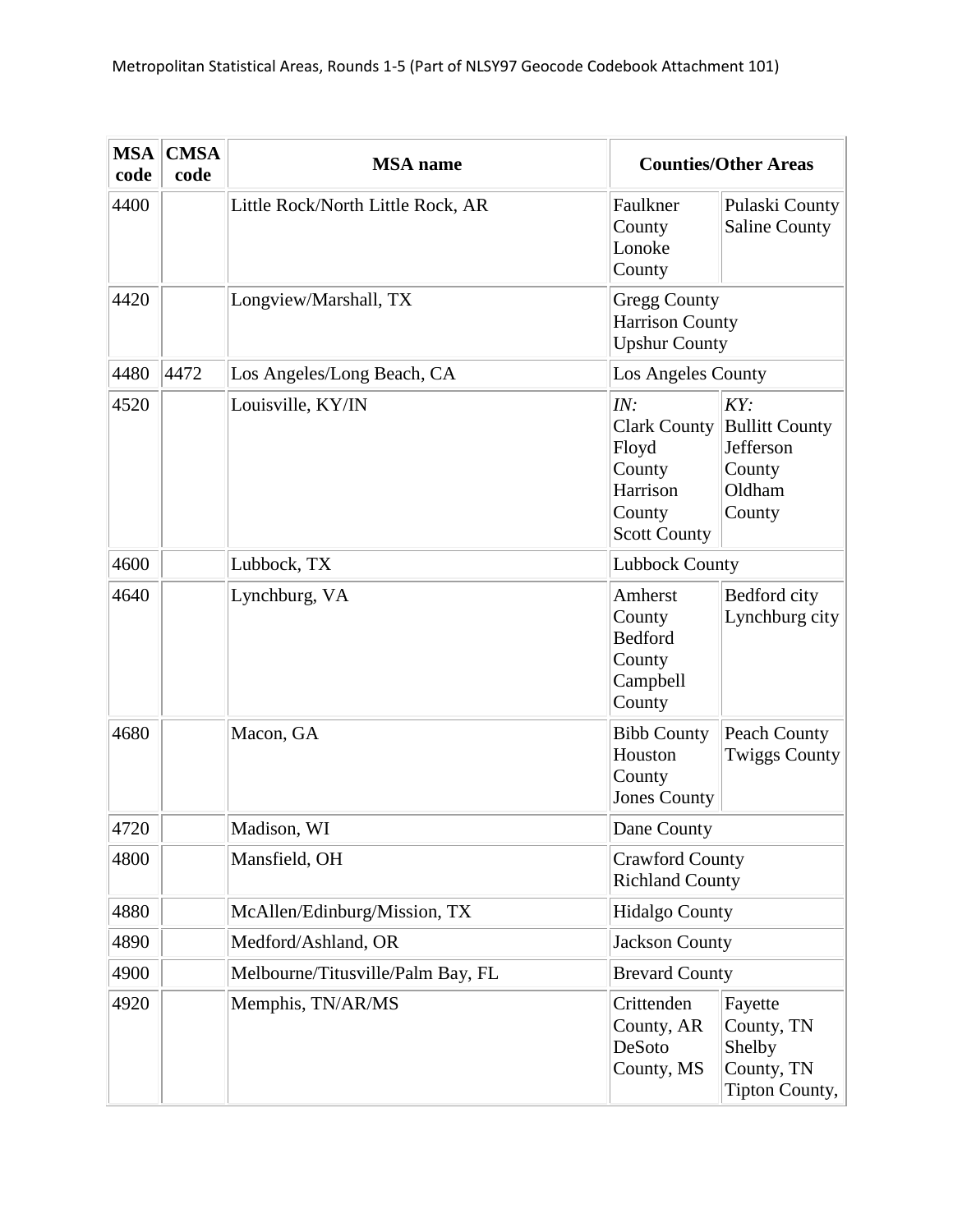| <b>MSA</b><br>code | <b>CMSA</b><br>code | <b>MSA</b> name                   |                                                                                     | <b>Counties/Other Areas</b>                                             |
|--------------------|---------------------|-----------------------------------|-------------------------------------------------------------------------------------|-------------------------------------------------------------------------|
| 4400               |                     | Little Rock/North Little Rock, AR | Faulkner<br>County<br>Lonoke<br>County                                              | Pulaski County<br><b>Saline County</b>                                  |
| 4420               |                     | Longview/Marshall, TX             | <b>Gregg County</b><br><b>Harrison County</b><br><b>Upshur County</b>               |                                                                         |
| 4480               | 4472                | Los Angeles/Long Beach, CA        | Los Angeles County                                                                  |                                                                         |
| 4520               |                     | Louisville, KY/IN                 | IN:<br>Clark County<br>Floyd<br>County<br>Harrison<br>County<br><b>Scott County</b> | KY:<br><b>Bullitt County</b><br>Jefferson<br>County<br>Oldham<br>County |
| 4600               |                     | Lubbock, TX                       | <b>Lubbock County</b>                                                               |                                                                         |
| 4640               |                     | Lynchburg, VA                     | Amherst<br>County<br><b>Bedford</b><br>County<br>Campbell<br>County                 | Bedford city<br>Lynchburg city                                          |
| 4680               |                     | Macon, GA                         | <b>Bibb County</b><br>Houston<br>County<br><b>Jones County</b>                      | Peach County<br><b>Twiggs County</b>                                    |
| 4720               |                     | Madison, WI                       | Dane County                                                                         |                                                                         |
| 4800               |                     | Mansfield, OH                     | <b>Crawford County</b><br><b>Richland County</b>                                    |                                                                         |
| 4880               |                     | McAllen/Edinburg/Mission, TX      | <b>Hidalgo County</b>                                                               |                                                                         |
| 4890               |                     | Medford/Ashland, OR               | <b>Jackson County</b>                                                               |                                                                         |
| 4900               |                     | Melbourne/Titusville/Palm Bay, FL | <b>Brevard County</b>                                                               |                                                                         |
| 4920               |                     | Memphis, TN/AR/MS                 | Crittenden<br>County, AR<br>DeSoto<br>County, MS                                    | Fayette<br>County, TN<br>Shelby<br>County, TN<br>Tipton County,         |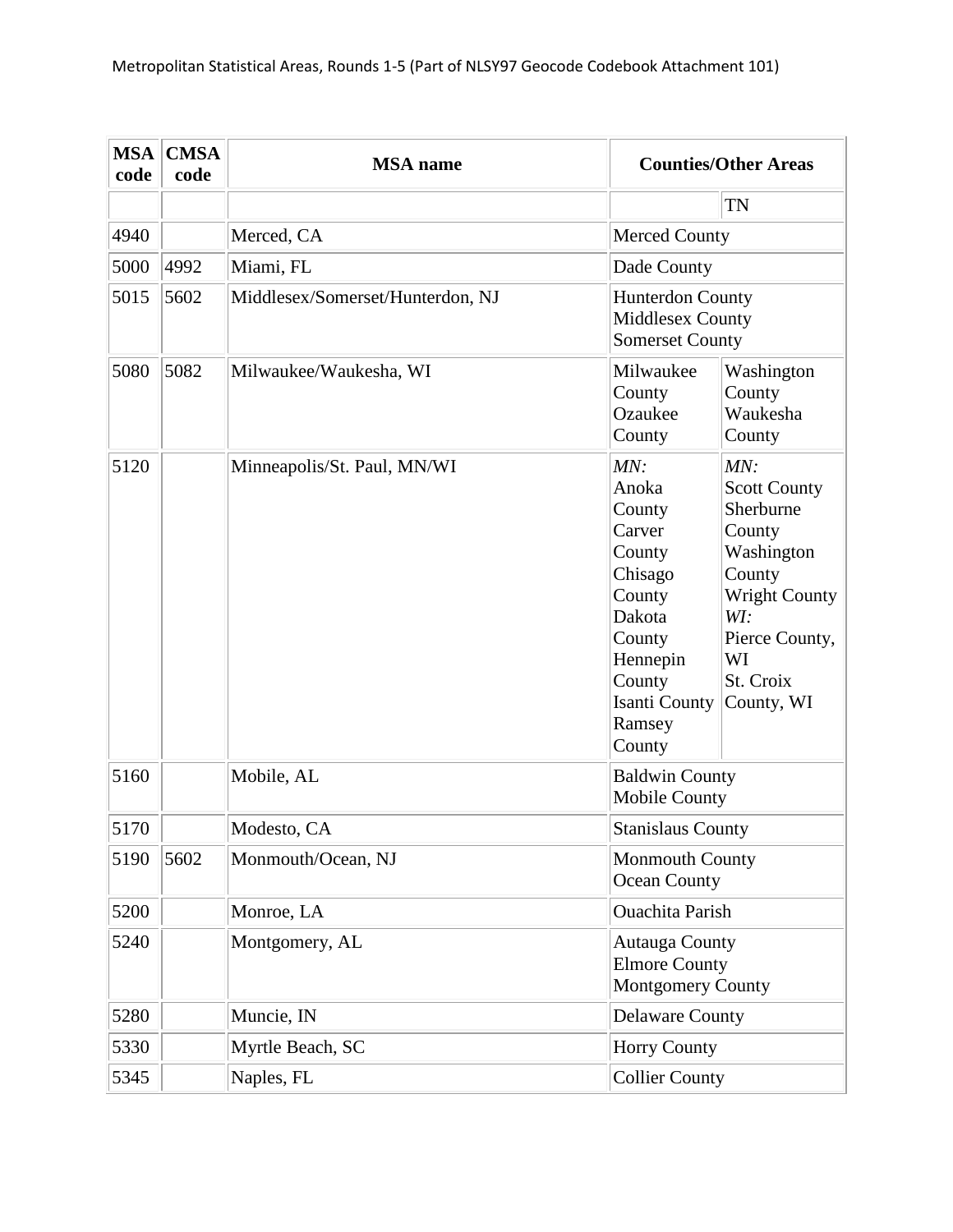| <b>MSA</b><br>code | <b>CMSA</b><br>code | <b>MSA</b> name                  |                                                                                                                                                | <b>Counties/Other Areas</b>                                                                                                                                 |
|--------------------|---------------------|----------------------------------|------------------------------------------------------------------------------------------------------------------------------------------------|-------------------------------------------------------------------------------------------------------------------------------------------------------------|
|                    |                     |                                  |                                                                                                                                                | TN                                                                                                                                                          |
| 4940               |                     | Merced, CA                       | <b>Merced County</b>                                                                                                                           |                                                                                                                                                             |
| 5000               | 4992                | Miami, FL                        | Dade County                                                                                                                                    |                                                                                                                                                             |
| 5015               | 5602                | Middlesex/Somerset/Hunterdon, NJ | <b>Hunterdon County</b><br>Middlesex County<br><b>Somerset County</b>                                                                          |                                                                                                                                                             |
| 5080               | 5082                | Milwaukee/Waukesha, WI           | Milwaukee<br>County<br>Ozaukee<br>County                                                                                                       | Washington<br>County<br>Waukesha<br>County                                                                                                                  |
| 5120               |                     | Minneapolis/St. Paul, MN/WI      | MN:<br>Anoka<br>County<br>Carver<br>County<br>Chisago<br>County<br>Dakota<br>County<br>Hennepin<br>County<br>Isanti County<br>Ramsey<br>County | MN:<br><b>Scott County</b><br>Sherburne<br>County<br>Washington<br>County<br><b>Wright County</b><br>WI:<br>Pierce County,<br>WI<br>St. Croix<br>County, WI |
| 5160               |                     | Mobile, AL                       | <b>Baldwin County</b><br><b>Mobile County</b>                                                                                                  |                                                                                                                                                             |
| 5170               |                     | Modesto, CA                      | <b>Stanislaus County</b>                                                                                                                       |                                                                                                                                                             |
| 5190               | 5602                | Monmouth/Ocean, NJ               | <b>Monmouth County</b><br>Ocean County                                                                                                         |                                                                                                                                                             |
| 5200               |                     | Monroe, LA                       | <b>Ouachita Parish</b>                                                                                                                         |                                                                                                                                                             |
| 5240               |                     | Montgomery, AL                   | <b>Autauga County</b><br><b>Elmore County</b><br>Montgomery County                                                                             |                                                                                                                                                             |
| 5280               |                     | Muncie, IN                       | <b>Delaware County</b>                                                                                                                         |                                                                                                                                                             |
| 5330               |                     | Myrtle Beach, SC                 | <b>Horry County</b>                                                                                                                            |                                                                                                                                                             |
| 5345               |                     | Naples, FL                       | <b>Collier County</b>                                                                                                                          |                                                                                                                                                             |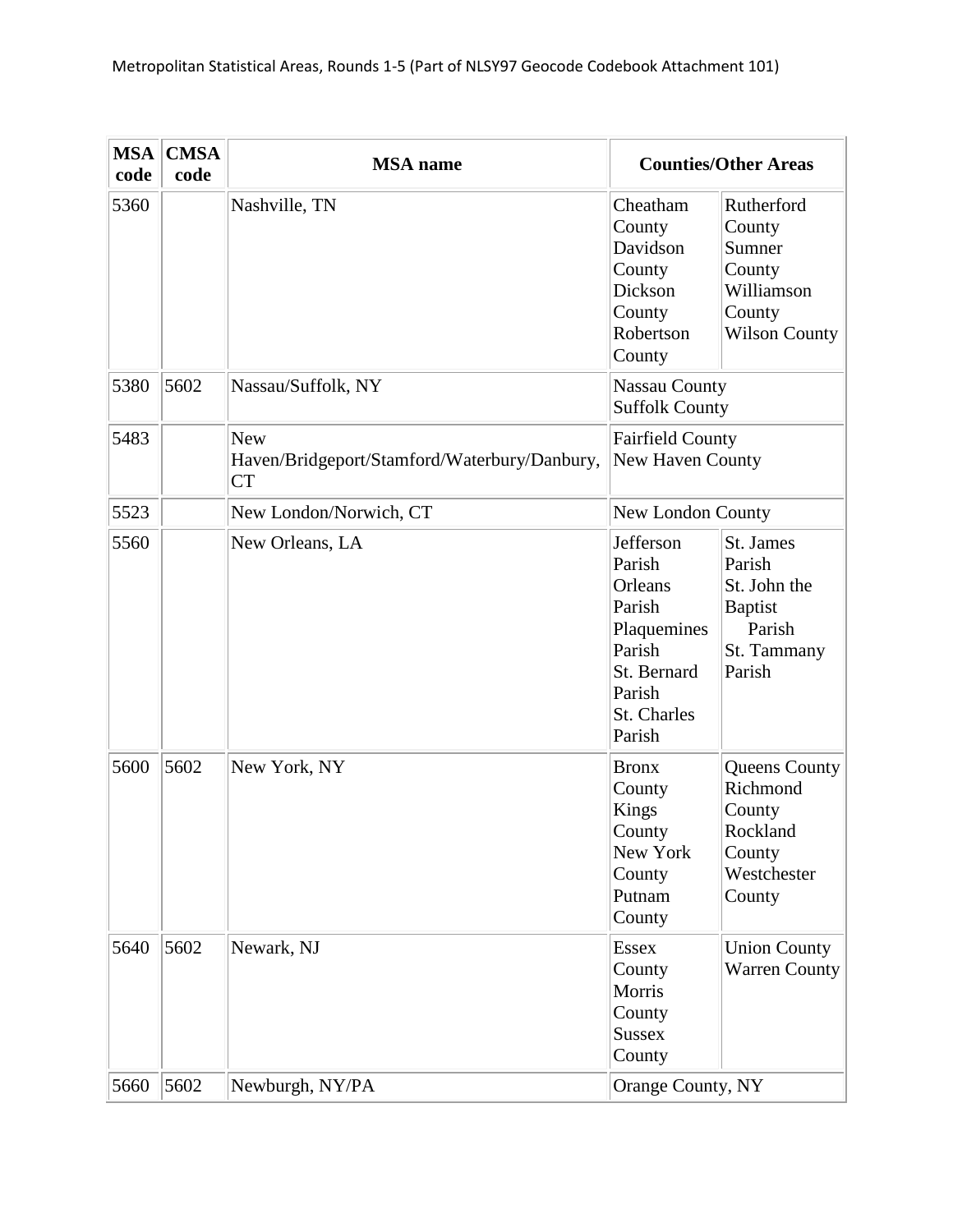| <b>MSA</b><br>code | <b>CMSA</b><br>code | <b>MSA</b> name                                                         |                                                                                                                     | <b>Counties/Other Areas</b>                                                              |
|--------------------|---------------------|-------------------------------------------------------------------------|---------------------------------------------------------------------------------------------------------------------|------------------------------------------------------------------------------------------|
| 5360               |                     | Nashville, TN                                                           | Cheatham<br>County<br>Davidson<br>County<br>Dickson<br>County<br>Robertson<br>County                                | Rutherford<br>County<br>Sumner<br>County<br>Williamson<br>County<br><b>Wilson County</b> |
| 5380               | 5602                | Nassau/Suffolk, NY                                                      | <b>Nassau County</b><br><b>Suffolk County</b>                                                                       |                                                                                          |
| 5483               |                     | <b>New</b><br>Haven/Bridgeport/Stamford/Waterbury/Danbury,<br><b>CT</b> | <b>Fairfield County</b><br>New Haven County                                                                         |                                                                                          |
| 5523               |                     | New London/Norwich, CT                                                  | New London County                                                                                                   |                                                                                          |
| 5560               |                     | New Orleans, LA                                                         | Jefferson<br>Parish<br>Orleans<br>Parish<br>Plaquemines<br>Parish<br>St. Bernard<br>Parish<br>St. Charles<br>Parish | St. James<br>Parish<br>St. John the<br><b>Baptist</b><br>Parish<br>St. Tammany<br>Parish |
| 5600               | 5602                | New York, NY                                                            | <b>Bronx</b><br>County<br>Kings<br>County<br>New York<br>County<br>Putnam<br>County                                 | Queens County<br>Richmond<br>County<br>Rockland<br>County<br>Westchester<br>County       |
| 5640               | 5602                | Newark, NJ                                                              | <b>Essex</b><br>County<br>Morris<br>County<br><b>Sussex</b><br>County                                               | <b>Union County</b><br><b>Warren County</b>                                              |
| 5660               | 5602                | Newburgh, NY/PA                                                         | Orange County, NY                                                                                                   |                                                                                          |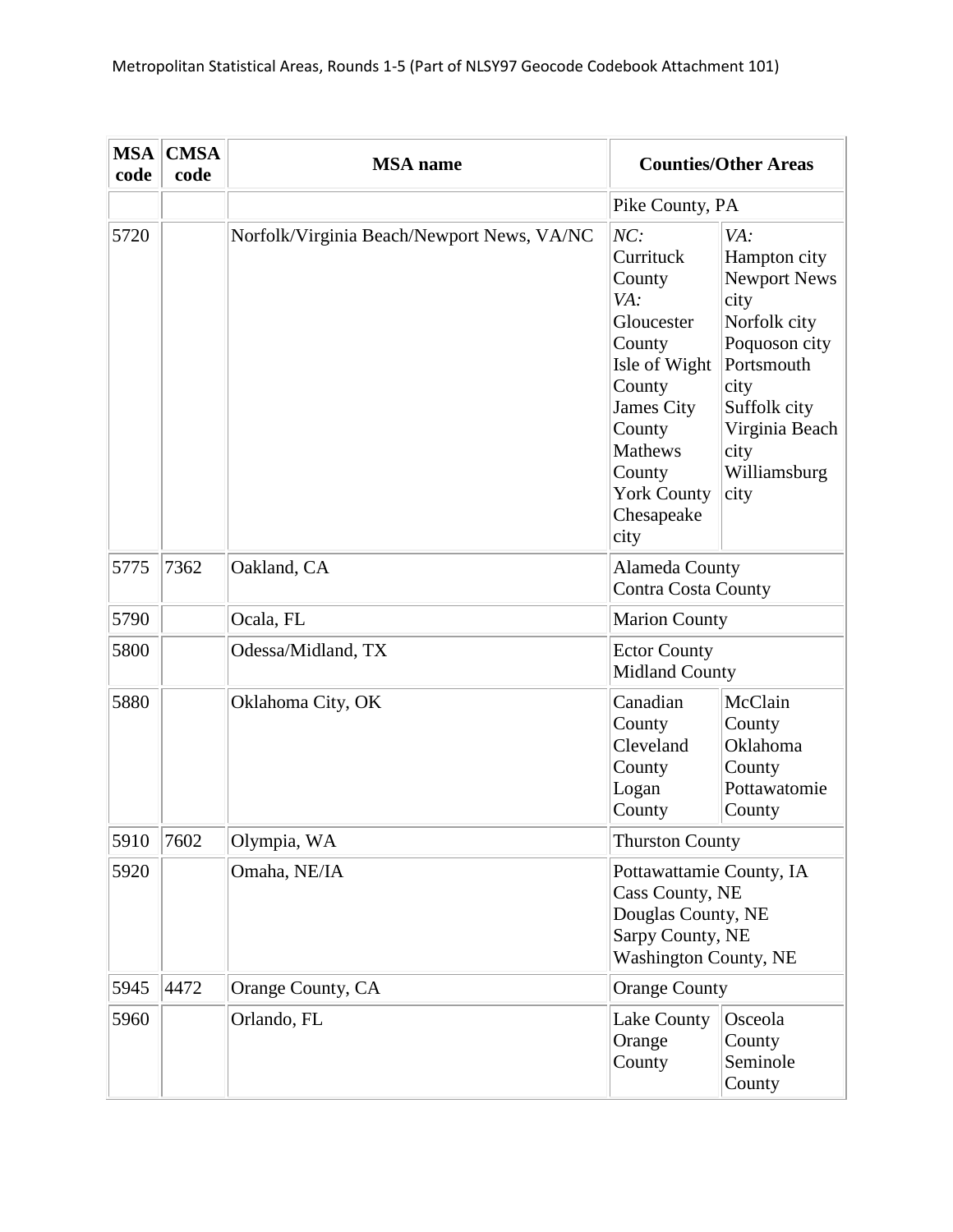| <b>MSA</b><br>code | <b>CMSA</b><br>code | <b>MSA</b> name                            |                                                                                                                                                                                      | <b>Counties/Other Areas</b>                                                                                                                                                 |
|--------------------|---------------------|--------------------------------------------|--------------------------------------------------------------------------------------------------------------------------------------------------------------------------------------|-----------------------------------------------------------------------------------------------------------------------------------------------------------------------------|
|                    |                     |                                            | Pike County, PA                                                                                                                                                                      |                                                                                                                                                                             |
| 5720               |                     | Norfolk/Virginia Beach/Newport News, VA/NC | NC:<br>Currituck<br>County<br>VA:<br>Gloucester<br>County<br>Isle of Wight<br>County<br>James City<br>County<br><b>Mathews</b><br>County<br><b>York County</b><br>Chesapeake<br>city | VA:<br>Hampton city<br><b>Newport News</b><br>city<br>Norfolk city<br>Poquoson city<br>Portsmouth<br>city<br>Suffolk city<br>Virginia Beach<br>city<br>Williamsburg<br>city |
| 5775               | 7362                | Oakland, CA                                | Alameda County<br><b>Contra Costa County</b>                                                                                                                                         |                                                                                                                                                                             |
| 5790               |                     | Ocala, FL                                  | <b>Marion County</b>                                                                                                                                                                 |                                                                                                                                                                             |
| 5800               |                     | Odessa/Midland, TX                         | <b>Ector County</b><br>Midland County                                                                                                                                                |                                                                                                                                                                             |
| 5880               |                     | Oklahoma City, OK                          | Canadian<br>County<br>Cleveland<br>County<br>Logan<br>County                                                                                                                         | McClain<br>County<br>Oklahoma<br>County<br>Pottawatomie<br>County                                                                                                           |
| 5910               | 7602                | Olympia, WA                                | <b>Thurston County</b>                                                                                                                                                               |                                                                                                                                                                             |
| 5920               |                     | Omaha, NE/IA                               | Pottawattamie County, IA<br>Cass County, NE<br>Douglas County, NE<br>Sarpy County, NE<br><b>Washington County, NE</b>                                                                |                                                                                                                                                                             |
| 5945               | 4472                | Orange County, CA                          | <b>Orange County</b>                                                                                                                                                                 |                                                                                                                                                                             |
| 5960               |                     | Orlando, FL                                | Lake County<br>Orange<br>County                                                                                                                                                      | Osceola<br>County<br>Seminole<br>County                                                                                                                                     |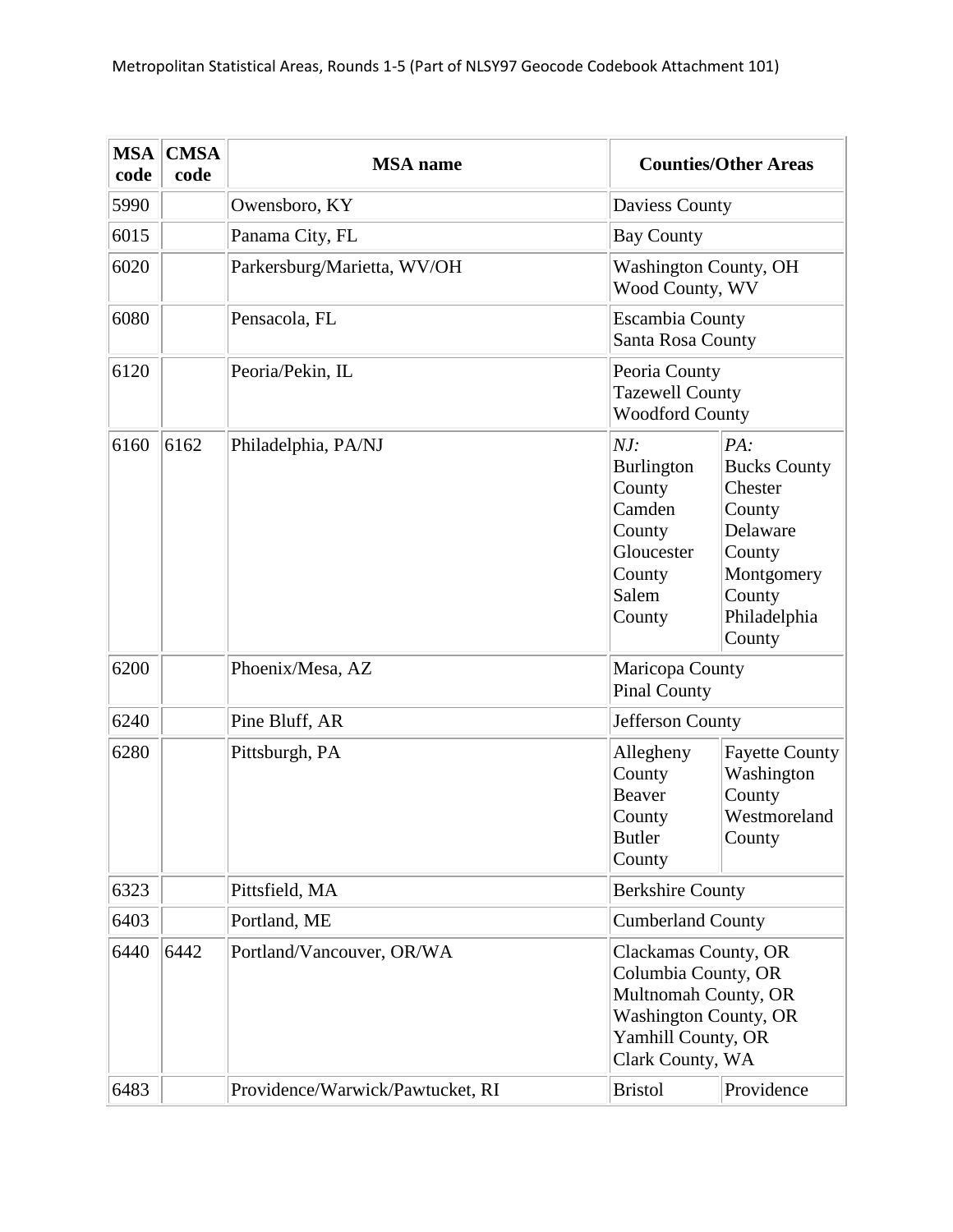| <b>MSA</b><br>code | <b>CMSA</b><br>code | <b>MSA</b> name                  |                                                                                                   | <b>Counties/Other Areas</b>                                                                                                                   |  |
|--------------------|---------------------|----------------------------------|---------------------------------------------------------------------------------------------------|-----------------------------------------------------------------------------------------------------------------------------------------------|--|
| 5990               |                     | Owensboro, KY                    | Daviess County                                                                                    |                                                                                                                                               |  |
| 6015               |                     | Panama City, FL                  | <b>Bay County</b>                                                                                 |                                                                                                                                               |  |
| 6020               |                     | Parkersburg/Marietta, WV/OH      | <b>Washington County, OH</b><br>Wood County, WV                                                   |                                                                                                                                               |  |
| 6080               |                     | Pensacola, FL                    | <b>Escambia County</b><br>Santa Rosa County                                                       |                                                                                                                                               |  |
| 6120               |                     | Peoria/Pekin, IL                 |                                                                                                   | Peoria County<br><b>Tazewell County</b><br><b>Woodford County</b>                                                                             |  |
| 6160               | 6162                | Philadelphia, PA/NJ              | NJ:<br><b>Burlington</b><br>County<br>Camden<br>County<br>Gloucester<br>County<br>Salem<br>County | PA:<br><b>Bucks County</b><br>Chester<br>County<br>Delaware<br>County<br>Montgomery<br>County<br>Philadelphia<br>County                       |  |
| 6200               |                     | Phoenix/Mesa, AZ                 | <b>Pinal County</b>                                                                               | Maricopa County                                                                                                                               |  |
| 6240               |                     | Pine Bluff, AR                   |                                                                                                   | Jefferson County                                                                                                                              |  |
| 6280               |                     | Pittsburgh, PA                   | Allegheny<br>County<br>Beaver<br>County<br><b>Butler</b><br>County                                | <b>Fayette County</b><br>Washington<br>County<br>Westmoreland<br>County                                                                       |  |
| 6323               |                     | Pittsfield, MA                   | <b>Berkshire County</b>                                                                           |                                                                                                                                               |  |
| 6403               |                     | Portland, ME                     | <b>Cumberland County</b>                                                                          |                                                                                                                                               |  |
| 6440               | 6442                | Portland/Vancouver, OR/WA        |                                                                                                   | Clackamas County, OR<br>Columbia County, OR<br>Multnomah County, OR<br><b>Washington County, OR</b><br>Yamhill County, OR<br>Clark County, WA |  |
| 6483               |                     | Providence/Warwick/Pawtucket, RI | <b>Bristol</b>                                                                                    | Providence                                                                                                                                    |  |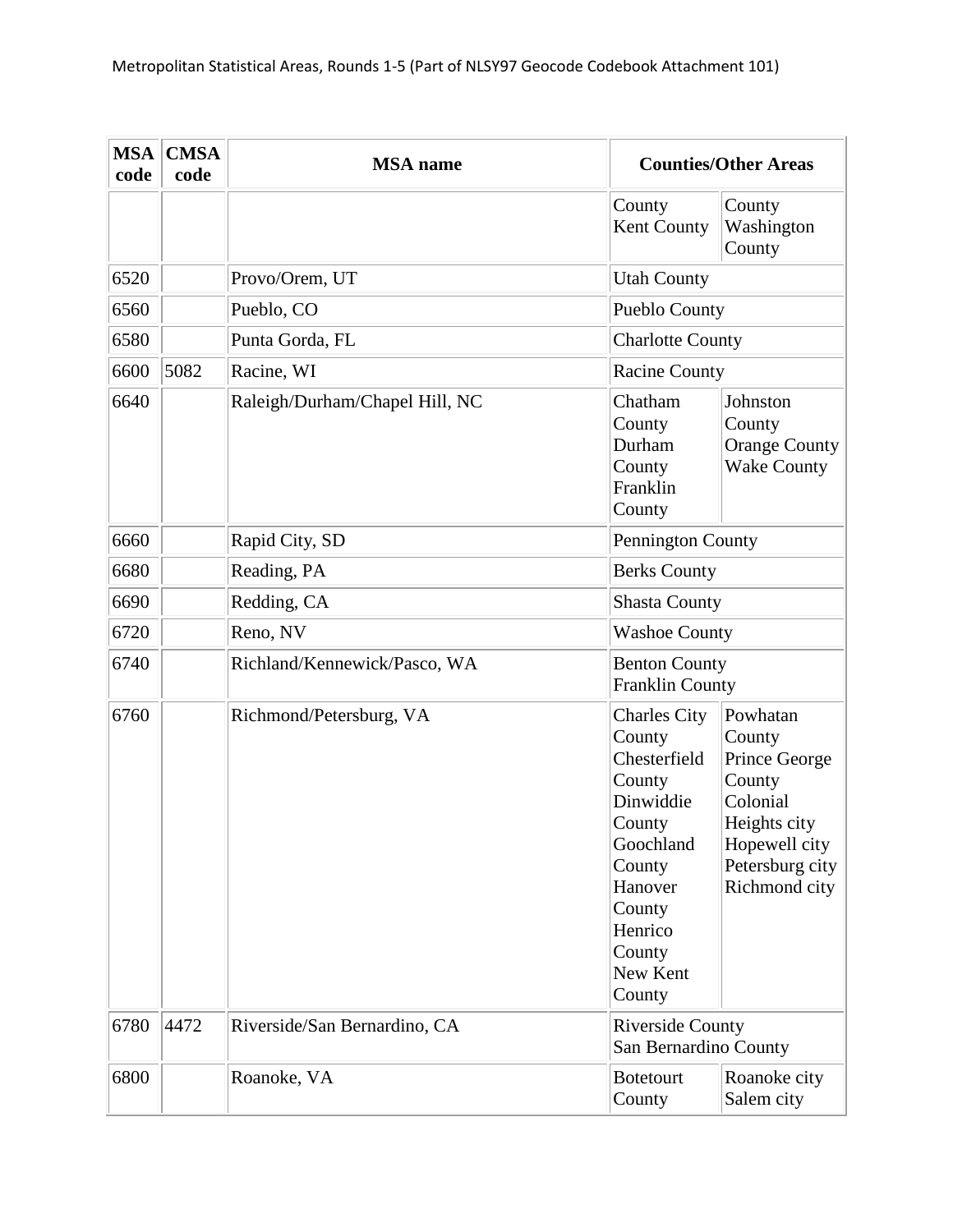| <b>MSA</b><br>code | <b>CMSA</b><br>code | <b>MSA</b> name                |                                                                                                                                                                       | <b>Counties/Other Areas</b>                                                                                                    |
|--------------------|---------------------|--------------------------------|-----------------------------------------------------------------------------------------------------------------------------------------------------------------------|--------------------------------------------------------------------------------------------------------------------------------|
|                    |                     |                                | County<br>Kent County                                                                                                                                                 | County<br>Washington<br>County                                                                                                 |
| 6520               |                     | Provo/Orem, UT                 | <b>Utah County</b>                                                                                                                                                    |                                                                                                                                |
| 6560               |                     | Pueblo, CO                     | <b>Pueblo County</b>                                                                                                                                                  |                                                                                                                                |
| 6580               |                     | Punta Gorda, FL                | <b>Charlotte County</b>                                                                                                                                               |                                                                                                                                |
| 6600               | 5082                | Racine, WI                     | <b>Racine County</b>                                                                                                                                                  |                                                                                                                                |
| 6640               |                     | Raleigh/Durham/Chapel Hill, NC | Chatham<br>County<br>Durham<br>County<br>Franklin<br>County                                                                                                           | Johnston<br>County<br><b>Orange County</b><br><b>Wake County</b>                                                               |
| 6660               |                     | Rapid City, SD                 | Pennington County                                                                                                                                                     |                                                                                                                                |
| 6680               |                     | Reading, PA                    | <b>Berks County</b>                                                                                                                                                   |                                                                                                                                |
| 6690               |                     | Redding, CA                    | <b>Shasta County</b>                                                                                                                                                  |                                                                                                                                |
| 6720               |                     | Reno, NV                       | <b>Washoe County</b>                                                                                                                                                  |                                                                                                                                |
| 6740               |                     | Richland/Kennewick/Pasco, WA   | <b>Benton County</b><br><b>Franklin County</b>                                                                                                                        |                                                                                                                                |
| 6760               |                     | Richmond/Petersburg, VA        | <b>Charles City</b><br>County<br>Chesterfield<br>County<br>Dinwiddie<br>County<br>Goochland<br>County<br>Hanover<br>County<br>Henrico<br>County<br>New Kent<br>County | Powhatan<br>County<br>Prince George<br>County<br>Colonial<br>Heights city<br>Hopewell city<br>Petersburg city<br>Richmond city |
| 6780               | 4472                | Riverside/San Bernardino, CA   | <b>Riverside County</b><br>San Bernardino County                                                                                                                      |                                                                                                                                |
| 6800               |                     | Roanoke, VA                    | <b>Botetourt</b><br>County                                                                                                                                            | Roanoke city<br>Salem city                                                                                                     |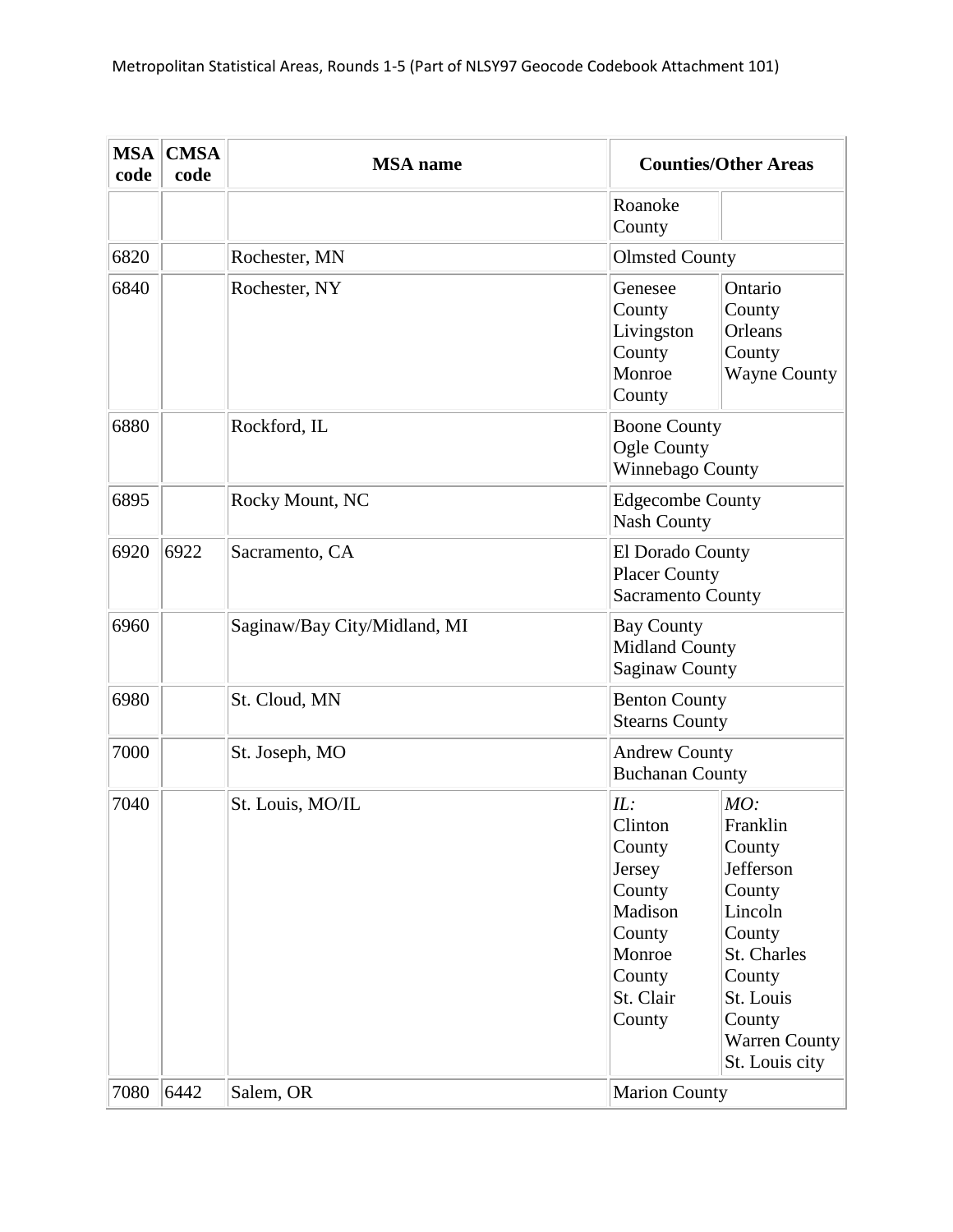| <b>MSA</b><br>code | <b>CMSA</b><br>code | <b>MSA</b> name              | <b>Counties/Other Areas</b>                                                                                                                                                                                                                                                     |
|--------------------|---------------------|------------------------------|---------------------------------------------------------------------------------------------------------------------------------------------------------------------------------------------------------------------------------------------------------------------------------|
|                    |                     |                              | Roanoke<br>County                                                                                                                                                                                                                                                               |
| 6820               |                     | Rochester, MN                | <b>Olmsted County</b>                                                                                                                                                                                                                                                           |
| 6840               |                     | Rochester, NY                | Genesee<br>Ontario<br>County<br>County<br>Livingston<br>Orleans<br>County<br>County<br>Monroe<br><b>Wayne County</b><br>County                                                                                                                                                  |
| 6880               |                     | Rockford, IL                 | <b>Boone County</b><br>Ogle County<br>Winnebago County                                                                                                                                                                                                                          |
| 6895               |                     | Rocky Mount, NC              | <b>Edgecombe County</b><br><b>Nash County</b>                                                                                                                                                                                                                                   |
| 6920               | 6922                | Sacramento, CA               | El Dorado County<br><b>Placer County</b><br><b>Sacramento County</b>                                                                                                                                                                                                            |
| 6960               |                     | Saginaw/Bay City/Midland, MI | <b>Bay County</b><br><b>Midland County</b><br><b>Saginaw County</b>                                                                                                                                                                                                             |
| 6980               |                     | St. Cloud, MN                | <b>Benton County</b><br><b>Stearns County</b>                                                                                                                                                                                                                                   |
| 7000               |                     | St. Joseph, MO               | <b>Andrew County</b><br><b>Buchanan County</b>                                                                                                                                                                                                                                  |
| 7040               |                     | St. Louis, MO/IL             | IL:<br>MO:<br>Clinton<br>Franklin<br>County<br>County<br>Jefferson<br>Jersey<br>County<br>County<br>Madison<br>Lincoln<br>County<br>County<br>St. Charles<br>Monroe<br>County<br>County<br>St. Clair<br>St. Louis<br>County<br>County<br><b>Warren County</b><br>St. Louis city |
| 7080               | 6442                | Salem, OR                    | <b>Marion County</b>                                                                                                                                                                                                                                                            |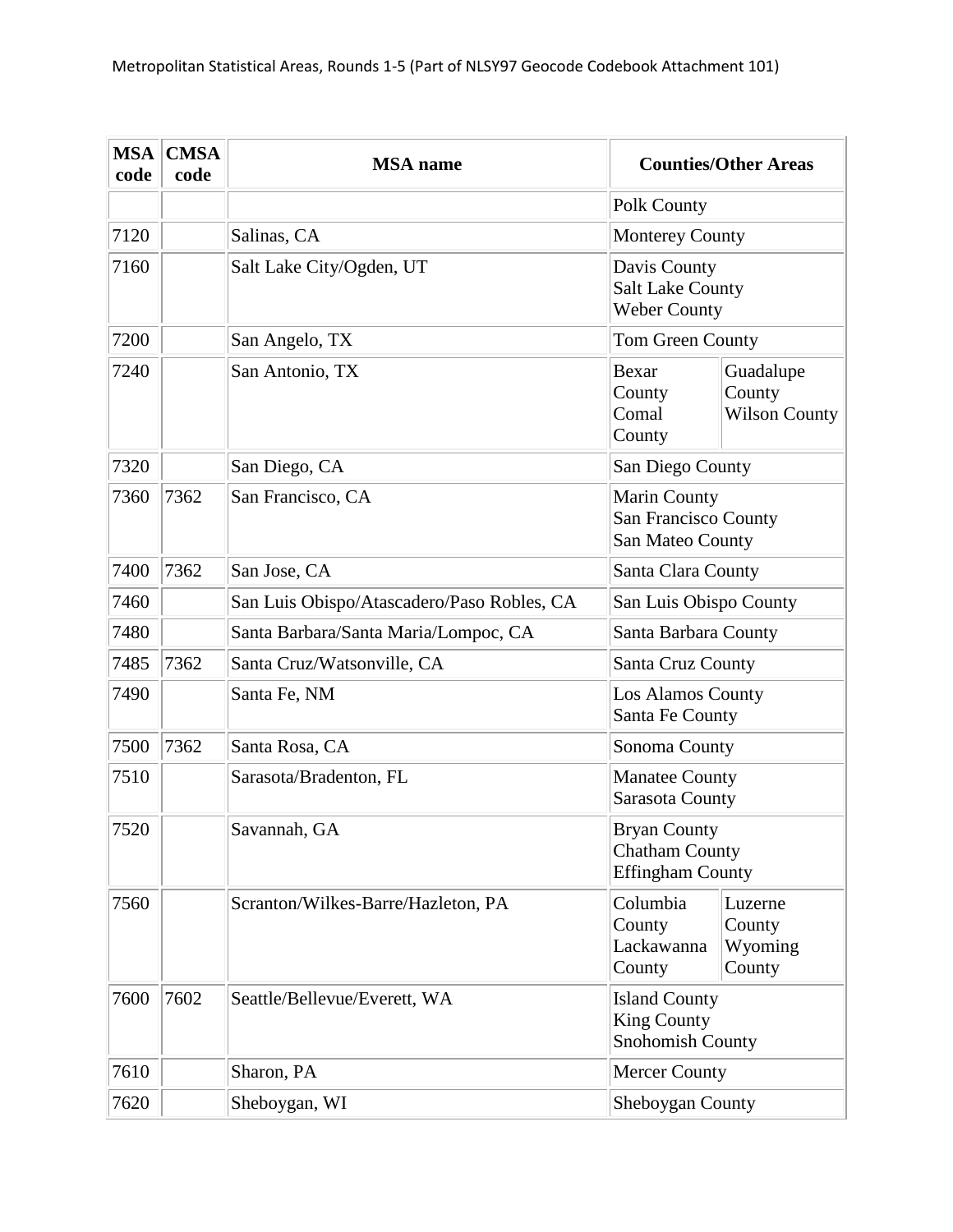| <b>MSA</b><br>code | <b>CMSA</b><br>code | <b>MSA</b> name                            | <b>Counties/Other Areas</b>                                             |                                             |
|--------------------|---------------------|--------------------------------------------|-------------------------------------------------------------------------|---------------------------------------------|
|                    |                     |                                            | Polk County                                                             |                                             |
| 7120               |                     | Salinas, CA                                | <b>Monterey County</b>                                                  |                                             |
| 7160               |                     | Salt Lake City/Ogden, UT                   | Davis County<br><b>Salt Lake County</b><br><b>Weber County</b>          |                                             |
| 7200               |                     | San Angelo, TX                             | Tom Green County                                                        |                                             |
| 7240               |                     | San Antonio, TX                            | <b>Bexar</b><br>County<br>Comal<br>County                               | Guadalupe<br>County<br><b>Wilson County</b> |
| 7320               |                     | San Diego, CA                              | San Diego County                                                        |                                             |
| 7360               | 7362                | San Francisco, CA                          | <b>Marin County</b><br>San Francisco County<br>San Mateo County         |                                             |
| 7400               | 7362                | San Jose, CA                               | Santa Clara County                                                      |                                             |
| 7460               |                     | San Luis Obispo/Atascadero/Paso Robles, CA | San Luis Obispo County                                                  |                                             |
| 7480               |                     | Santa Barbara/Santa Maria/Lompoc, CA       | Santa Barbara County                                                    |                                             |
| 7485               | 7362                | Santa Cruz/Watsonville, CA                 | Santa Cruz County                                                       |                                             |
| 7490               |                     | Santa Fe, NM                               | Los Alamos County<br>Santa Fe County                                    |                                             |
| 7500               | 7362                | Santa Rosa, CA                             | Sonoma County                                                           |                                             |
| 7510               |                     | Sarasota/Bradenton, FL                     | <b>Manatee County</b><br>Sarasota County                                |                                             |
| 7520               |                     | Savannah, GA                               | <b>Bryan County</b><br><b>Chatham County</b><br><b>Effingham County</b> |                                             |
| 7560               |                     | Scranton/Wilkes-Barre/Hazleton, PA         | Columbia<br>County<br>Lackawanna<br>County                              | Luzerne<br>County<br>Wyoming<br>County      |
| 7600               | 7602                | Seattle/Bellevue/Everett, WA               | <b>Island County</b><br><b>King County</b><br>Snohomish County          |                                             |
| 7610               |                     | Sharon, PA                                 | <b>Mercer County</b>                                                    |                                             |
| 7620               |                     | Sheboygan, WI                              | Sheboygan County                                                        |                                             |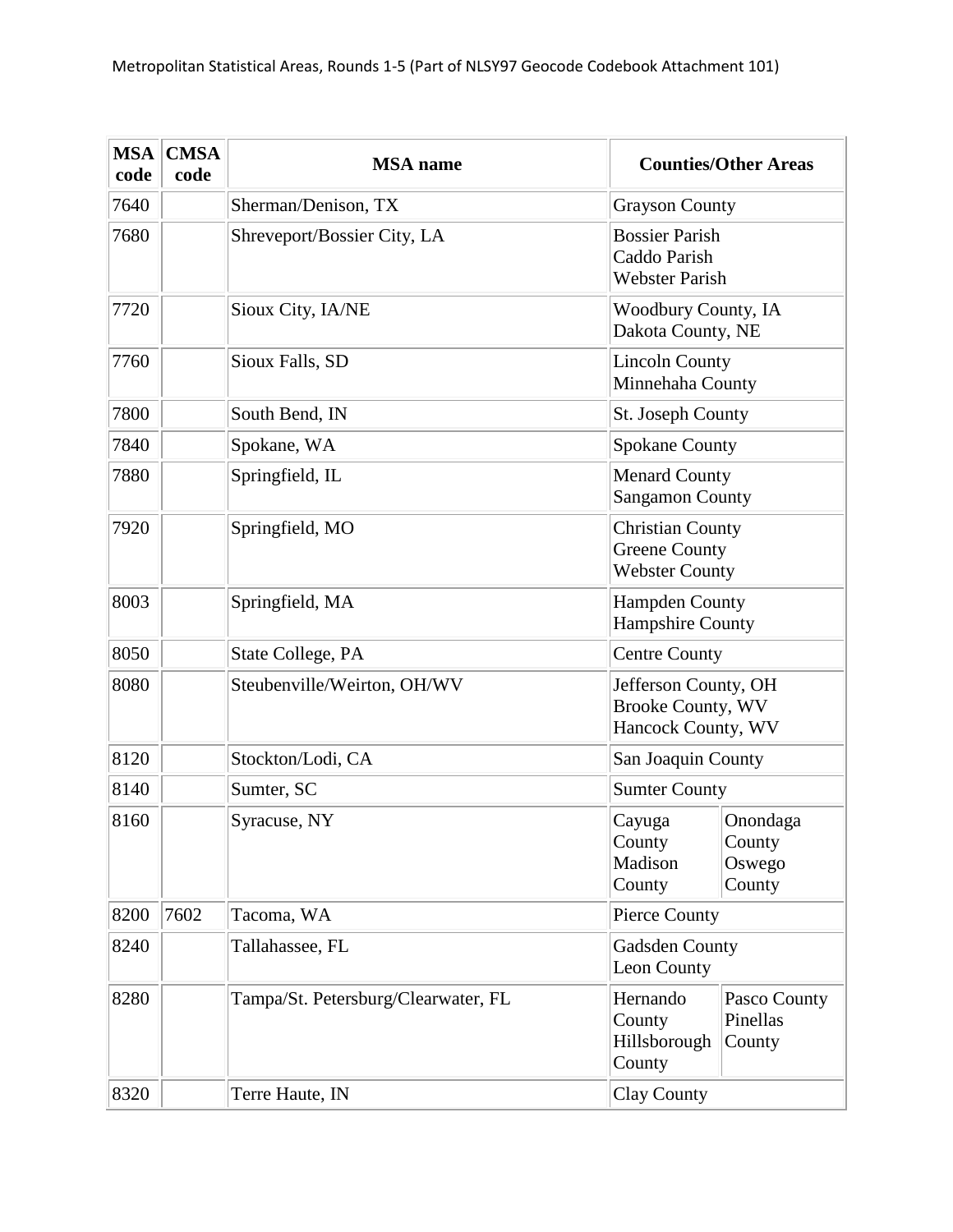| <b>MSA</b><br>code | <b>CMSA</b><br>code | <b>MSA</b> name                     |                                                                          | <b>Counties/Other Areas</b>            |
|--------------------|---------------------|-------------------------------------|--------------------------------------------------------------------------|----------------------------------------|
| 7640               |                     | Sherman/Denison, TX                 | <b>Grayson County</b>                                                    |                                        |
| 7680               |                     | Shreveport/Bossier City, LA         | <b>Bossier Parish</b><br>Caddo Parish<br><b>Webster Parish</b>           |                                        |
| 7720               |                     | Sioux City, IA/NE                   | <b>Woodbury County, IA</b><br>Dakota County, NE                          |                                        |
| 7760               |                     | Sioux Falls, SD                     | <b>Lincoln County</b><br>Minnehaha County                                |                                        |
| 7800               |                     | South Bend, IN                      | St. Joseph County                                                        |                                        |
| 7840               |                     | Spokane, WA                         | <b>Spokane County</b>                                                    |                                        |
| 7880               |                     | Springfield, IL                     | <b>Menard County</b><br><b>Sangamon County</b>                           |                                        |
| 7920               |                     | Springfield, MO                     | <b>Christian County</b><br><b>Greene County</b><br><b>Webster County</b> |                                        |
| 8003               |                     | Springfield, MA                     | <b>Hampden County</b><br><b>Hampshire County</b>                         |                                        |
| 8050               |                     | State College, PA                   | <b>Centre County</b>                                                     |                                        |
| 8080               |                     | Steubenville/Weirton, OH/WV         | Jefferson County, OH<br><b>Brooke County, WV</b><br>Hancock County, WV   |                                        |
| 8120               |                     | Stockton/Lodi, CA                   | San Joaquin County                                                       |                                        |
| 8140               |                     | Sumter, SC                          | <b>Sumter County</b>                                                     |                                        |
| 8160               |                     | Syracuse, NY                        | Cayuga<br>County<br>Madison<br>County                                    | Onondaga<br>County<br>Oswego<br>County |
| 8200               | 7602                | Tacoma, WA                          | <b>Pierce County</b>                                                     |                                        |
| 8240               |                     | Tallahassee, FL                     | Gadsden County<br>Leon County                                            |                                        |
| 8280               |                     | Tampa/St. Petersburg/Clearwater, FL | Hernando<br>County<br>Hillsborough<br>County                             | Pasco County<br>Pinellas<br>County     |
| 8320               |                     | Terre Haute, IN                     | Clay County                                                              |                                        |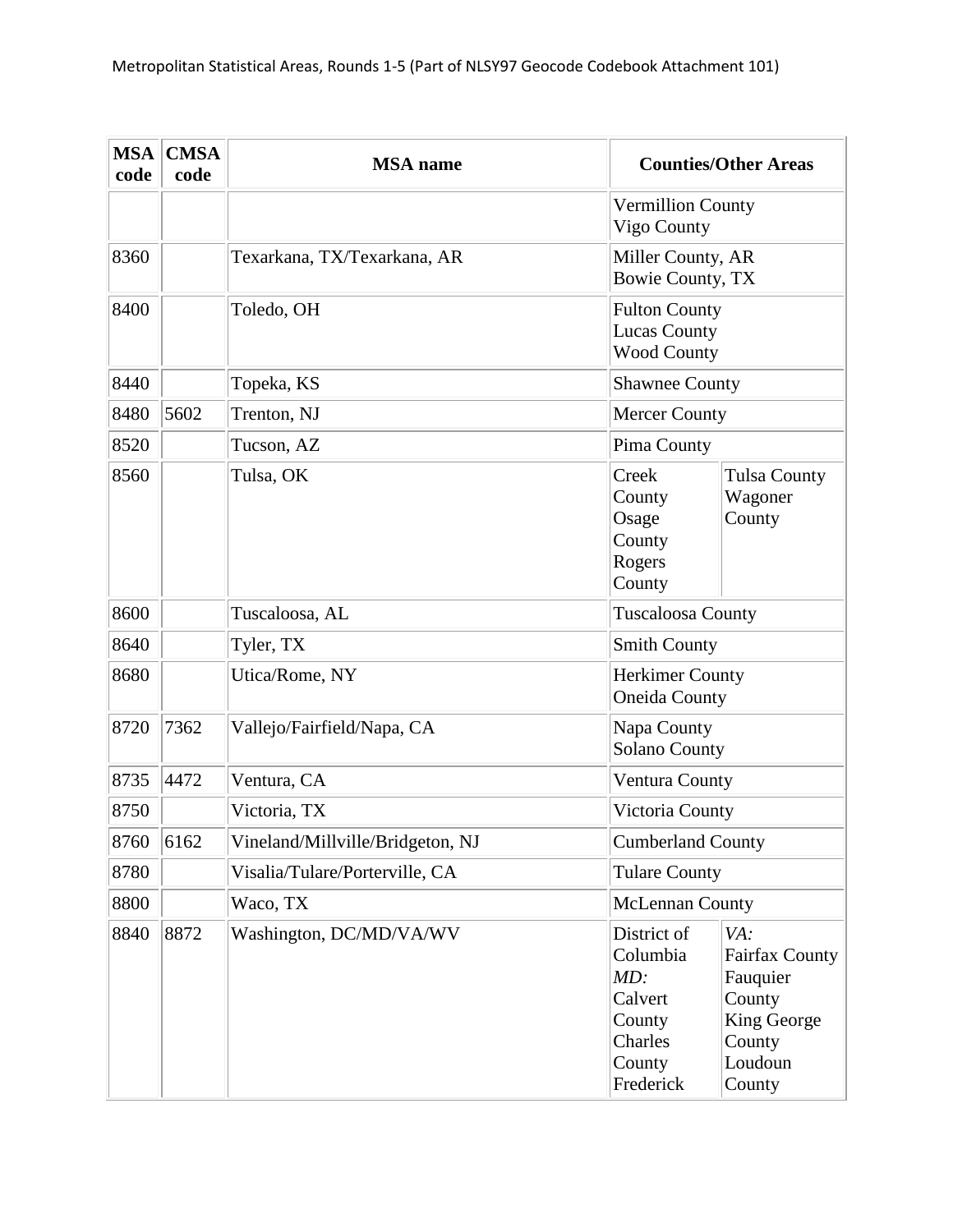| <b>MSA</b><br>code | <b>CMSA</b><br>code | <b>MSA</b> name                  |                                                                                       | <b>Counties/Other Areas</b>                                                                      |
|--------------------|---------------------|----------------------------------|---------------------------------------------------------------------------------------|--------------------------------------------------------------------------------------------------|
|                    |                     |                                  | <b>Vermillion County</b><br>Vigo County                                               |                                                                                                  |
| 8360               |                     | Texarkana, TX/Texarkana, AR      | Miller County, AR<br>Bowie County, TX                                                 |                                                                                                  |
| 8400               |                     | Toledo, OH                       | <b>Fulton County</b><br><b>Lucas County</b><br><b>Wood County</b>                     |                                                                                                  |
| 8440               |                     | Topeka, KS                       | <b>Shawnee County</b>                                                                 |                                                                                                  |
| 8480               | 5602                | Trenton, NJ                      | <b>Mercer County</b>                                                                  |                                                                                                  |
| 8520               |                     | Tucson, AZ                       | Pima County                                                                           |                                                                                                  |
| 8560               |                     | Tulsa, OK                        | Creek<br>County<br>Osage<br>County<br>Rogers<br>County                                | <b>Tulsa County</b><br>Wagoner<br>County                                                         |
| 8600               |                     | Tuscaloosa, AL                   | <b>Tuscaloosa County</b>                                                              |                                                                                                  |
| 8640               |                     | Tyler, TX                        | <b>Smith County</b>                                                                   |                                                                                                  |
| 8680               |                     | Utica/Rome, NY                   | <b>Herkimer County</b><br><b>Oneida County</b>                                        |                                                                                                  |
| 8720               | 7362                | Vallejo/Fairfield/Napa, CA       | Napa County<br><b>Solano County</b>                                                   |                                                                                                  |
| 8735               | 4472                | Ventura, CA                      | Ventura County                                                                        |                                                                                                  |
| 8750               |                     | Victoria, TX                     | Victoria County                                                                       |                                                                                                  |
| 8760               | 6162                | Vineland/Millville/Bridgeton, NJ | <b>Cumberland County</b>                                                              |                                                                                                  |
| 8780               |                     | Visalia/Tulare/Porterville, CA   | <b>Tulare County</b>                                                                  |                                                                                                  |
| 8800               |                     | Waco, TX                         | <b>McLennan County</b>                                                                |                                                                                                  |
| 8840               | 8872                | Washington, DC/MD/VA/WV          | District of<br>Columbia<br>MD:<br>Calvert<br>County<br>Charles<br>County<br>Frederick | VA:<br><b>Fairfax County</b><br>Fauquier<br>County<br>King George<br>County<br>Loudoun<br>County |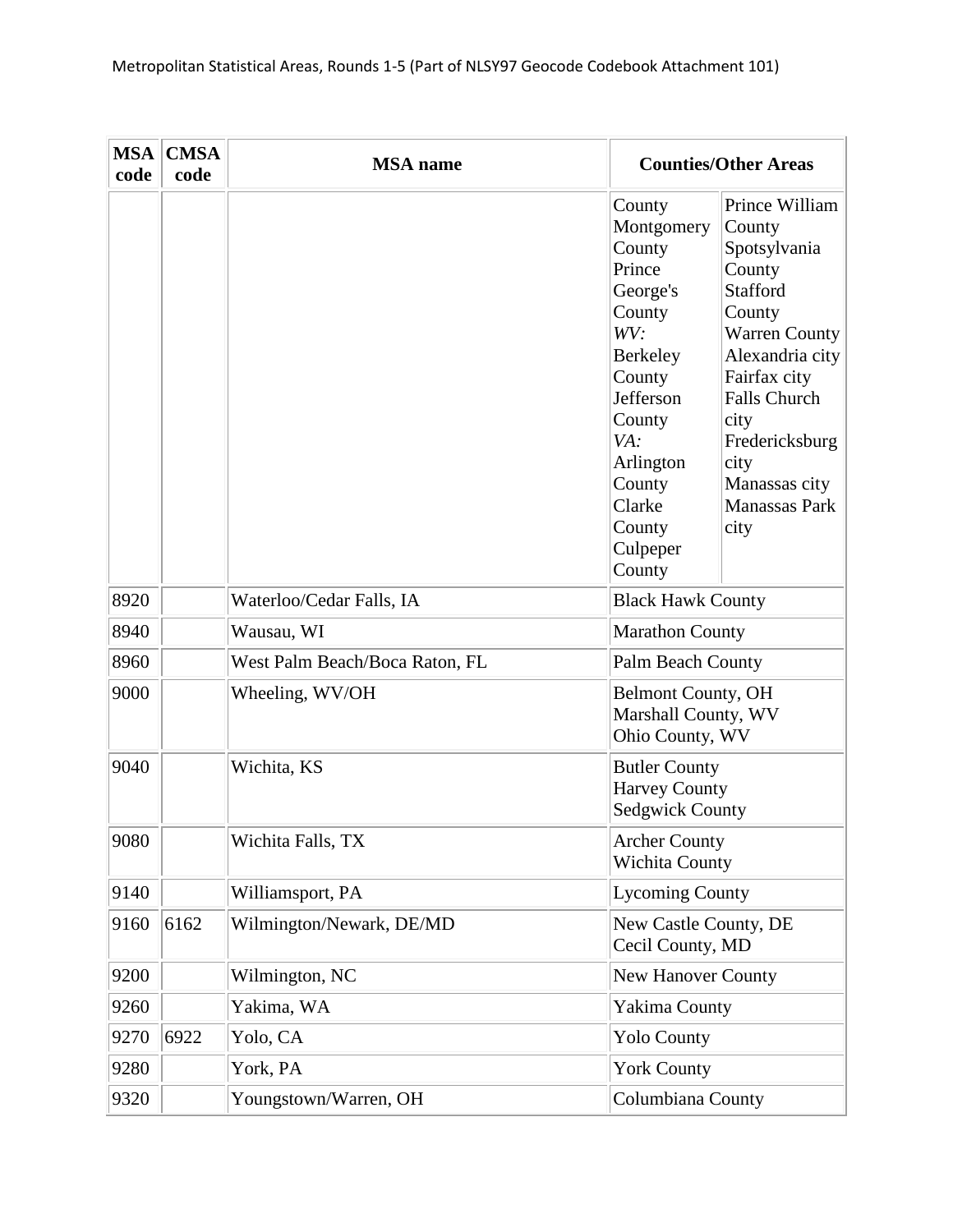| <b>MSA</b><br>code | <b>CMSA</b><br>code | <b>MSA</b> name                |                                                                                                                                                                                            | <b>Counties/Other Areas</b>                                                                                                                                                                                                                          |
|--------------------|---------------------|--------------------------------|--------------------------------------------------------------------------------------------------------------------------------------------------------------------------------------------|------------------------------------------------------------------------------------------------------------------------------------------------------------------------------------------------------------------------------------------------------|
|                    |                     |                                | County<br>Montgomery<br>County<br>Prince<br>George's<br>County<br>WV:<br>Berkeley<br>County<br>Jefferson<br>County<br>VA:<br>Arlington<br>County<br>Clarke<br>County<br>Culpeper<br>County | Prince William<br>County<br>Spotsylvania<br>County<br><b>Stafford</b><br>County<br><b>Warren County</b><br>Alexandria city<br>Fairfax city<br><b>Falls Church</b><br>city<br>Fredericksburg<br>city<br>Manassas city<br><b>Manassas Park</b><br>city |
| 8920               |                     | Waterloo/Cedar Falls, IA       | <b>Black Hawk County</b>                                                                                                                                                                   |                                                                                                                                                                                                                                                      |
| 8940               |                     | Wausau, WI                     | <b>Marathon County</b>                                                                                                                                                                     |                                                                                                                                                                                                                                                      |
| 8960               |                     | West Palm Beach/Boca Raton, FL | Palm Beach County                                                                                                                                                                          |                                                                                                                                                                                                                                                      |
| 9000               |                     | Wheeling, WV/OH                | <b>Belmont County, OH</b><br>Marshall County, WV<br>Ohio County, WV                                                                                                                        |                                                                                                                                                                                                                                                      |
| 9040               |                     | Wichita, KS                    | <b>Butler County</b><br><b>Harvey County</b><br><b>Sedgwick County</b>                                                                                                                     |                                                                                                                                                                                                                                                      |
| 9080               |                     | Wichita Falls, TX              | <b>Archer County</b><br><b>Wichita County</b>                                                                                                                                              |                                                                                                                                                                                                                                                      |
| 9140               |                     | Williamsport, PA               | <b>Lycoming County</b>                                                                                                                                                                     |                                                                                                                                                                                                                                                      |
| 9160               | 6162                | Wilmington/Newark, DE/MD       | New Castle County, DE<br>Cecil County, MD                                                                                                                                                  |                                                                                                                                                                                                                                                      |
| 9200               |                     | Wilmington, NC                 | <b>New Hanover County</b>                                                                                                                                                                  |                                                                                                                                                                                                                                                      |
| 9260               |                     | Yakima, WA                     | Yakima County                                                                                                                                                                              |                                                                                                                                                                                                                                                      |
| 9270               | 6922                | Yolo, CA                       | <b>Yolo County</b>                                                                                                                                                                         |                                                                                                                                                                                                                                                      |
| 9280               |                     | York, PA                       | <b>York County</b>                                                                                                                                                                         |                                                                                                                                                                                                                                                      |
| 9320               |                     | Youngstown/Warren, OH          | Columbiana County                                                                                                                                                                          |                                                                                                                                                                                                                                                      |